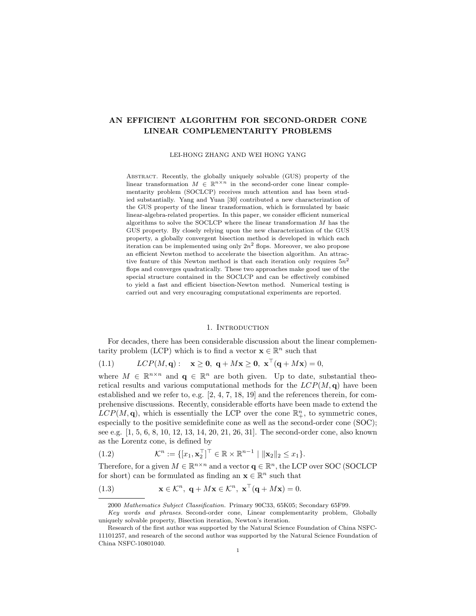# AN EFFICIENT ALGORITHM FOR SECOND-ORDER CONE LINEAR COMPLEMENTARITY PROBLEMS

LEI-HONG ZHANG AND WEI HONG YANG

Abstract. Recently, the globally uniquely solvable (GUS) property of the linear transformation  $M \in \mathbb{R}^{n \times n}$  in the second-order cone linear complementarity problem (SOCLCP) receives much attention and has been studied substantially. Yang and Yuan [30] contributed a new characterization of the GUS property of the linear transformation, which is formulated by basic linear-algebra-related properties. In this paper, we consider efficient numerical algorithms to solve the SOCLCP where the linear transformation  $M$  has the GUS property. By closely relying upon the new characterization of the GUS property, a globally convergent bisection method is developed in which each iteration can be implemented using only  $2n^2$  flops. Moreover, we also propose an efficient Newton method to accelerate the bisection algorithm. An attractive feature of this Newton method is that each iteration only requires  $5n^2$ flops and converges quadratically. These two approaches make good use of the special structure contained in the SOCLCP and can be effectively combined to yield a fast and efficient bisection-Newton method. Numerical testing is carried out and very encouraging computational experiments are reported.

#### 1. INTRODUCTION

For decades, there has been considerable discussion about the linear complementarity problem (LCP) which is to find a vector  $\mathbf{x} \in \mathbb{R}^n$  such that

(1.1)  $LCP(M, \mathbf{q}): \mathbf{x} \geq \mathbf{0}, \mathbf{q} + M\mathbf{x} \geq \mathbf{0}, \mathbf{x}^{\top}(\mathbf{q} + M\mathbf{x}) = 0,$ 

where  $M \in \mathbb{R}^{n \times n}$  and  $q \in \mathbb{R}^n$  are both given. Up to date, substantial theoretical results and various computational methods for the  $LCP(M, q)$  have been established and we refer to, e.g.  $[2, 4, 7, 18, 19]$  and the references therein, for comprehensive discussions. Recently, considerable efforts have been made to extend the  $LCP(M, \mathbf{q})$ , which is essentially the LCP over the cone  $\mathbb{R}^n_+$ , to symmetric cones, especially to the positive semidefinite cone as well as the second-order cone (SOC); see e.g. [1, 5, 6, 8, 10, 12, 13, 14, 20, 21, 26, 31]. The second-order cone, also known as the Lorentz cone, is defined by

(1.2) 
$$
\mathcal{K}^n := \{ [x_1, \mathbf{x}_2^\top]^\top \in \mathbb{R} \times \mathbb{R}^{n-1} \mid \|\mathbf{x}_2\|_2 \le x_1 \}.
$$

Therefore, for a given  $M \in \mathbb{R}^{n \times n}$  and a vector  $\mathbf{q} \in \mathbb{R}^n$ , the LCP over SOC (SOCLCP) for short) can be formulated as finding an  $\mathbf{x} \in \mathbb{R}^n$  such that

(1.3) 
$$
\mathbf{x} \in \mathcal{K}^n, \ \mathbf{q} + M\mathbf{x} \in \mathcal{K}^n, \ \mathbf{x}^\top (\mathbf{q} + M\mathbf{x}) = 0.
$$

<sup>2000</sup> Mathematics Subject Classification. Primary 90C33, 65K05; Secondary 65F99.

Key words and phrases. Second-order cone, Linear complementarity problem, Globally uniquely solvable property, Bisection iteration, Newton's iteration.

Research of the first author was supported by the Natural Science Foundation of China NSFC-11101257, and research of the second author was supported by the Natural Science Foundation of China NSFC-10801040.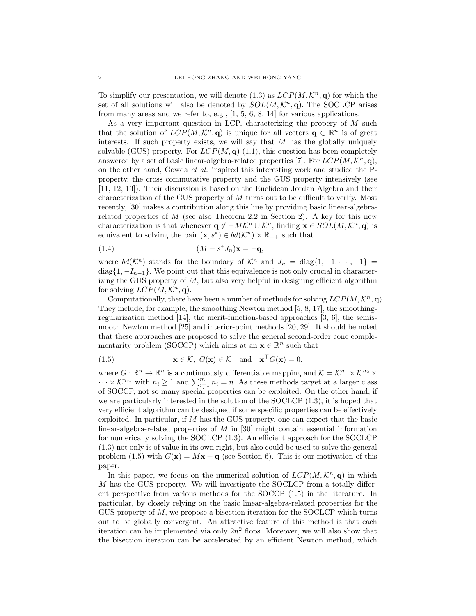To simplify our presentation, we will denote (1.3) as  $LCP(M, \mathcal{K}^n, \mathbf{q})$  for which the set of all solutions will also be denoted by  $SOL(M, \mathcal{K}^n, \mathbf{q})$ . The SOCLCP arises from many areas and we refer to, e.g., [1, 5, 6, 8, 14] for various applications.

As a very important question in LCP, characterizing the propery of M such that the solution of  $LCP(M,\mathcal{K}^n,\mathbf{q})$  is unique for all vectors  $\mathbf{q} \in \mathbb{R}^n$  is of great interests. If such property exists, we will say that  $M$  has the globally uniquely solvable (GUS) property. For  $LCP(M, \mathbf{q})$  (1.1), this question has been completely answered by a set of basic linear-algebra-related properties [7]. For  $LCP(M, \mathcal{K}^n, \mathbf{q})$ , on the other hand, Gowda et al. inspired this interesting work and studied the Pproperty, the cross commutative property and the GUS property intensively (see [11, 12, 13]). Their discussion is based on the Euclidean Jordan Algebra and their characterization of the GUS property of M turns out to be difficult to verify. Most recently, [30] makes a contribution along this line by providing basic linear-algebrarelated properties of  $M$  (see also Theorem 2.2 in Section 2). A key for this new characterization is that whenever  $\mathbf{q} \notin -MK^n \cup \mathcal{K}^n$ , finding  $\mathbf{x} \in SOL(M,\mathcal{K}^n,\mathbf{q})$  is equivalent to solving the pair  $(\mathbf{x}, s^*) \in bd(\mathcal{K}^n) \times \mathbb{R}_{++}$  such that

(M − s ∗ (1.4) Jn)x = −q,

where  $bd(\mathcal{K}^n)$  stands for the boundary of  $\mathcal{K}^n$  and  $J_n = \text{diag}\{1, -1, \dots, -1\}$ diag $\{1, -I_{n-1}\}.$  We point out that this equivalence is not only crucial in characterizing the GUS property of M, but also very helpful in designing efficient algorithm for solving  $LCP(M, \mathcal{K}^n, \mathbf{q})$ .

Computationally, there have been a number of methods for solving  $LCP(M, \mathcal{K}^n, \mathbf{q})$ . They include, for example, the smoothing Newton method [5, 8, 17], the smoothingregularization method  $[14]$ , the merit-function-based approaches  $[3, 6]$ , the semismooth Newton method [25] and interior-point methods [20, 29]. It should be noted that these approaches are proposed to solve the general second-order cone complementarity problem (SOCCP) which aims at an  $\mathbf{x} \in \mathbb{R}^n$  such that

(1.5) 
$$
\mathbf{x} \in \mathcal{K}, \ G(\mathbf{x}) \in \mathcal{K} \text{ and } \mathbf{x}^{\top} G(\mathbf{x}) = 0,
$$

where  $G: \mathbb{R}^n \to \mathbb{R}^n$  is a continuously differentiable mapping and  $\mathcal{K} = \mathcal{K}^{n_1} \times \mathcal{K}^{n_2} \times$  $\cdots \times \mathcal{K}^{n_m}$  with  $n_i \geq 1$  and  $\sum_{i=1}^{m} n_i = n$ . As these methods target at a larger class of SOCCP, not so many special properties can be exploited. On the other hand, if we are particularly interested in the solution of the SOCLCP (1.3), it is hoped that very efficient algorithm can be designed if some specific properties can be effectively exploited. In particular, if  $M$  has the GUS property, one can expect that the basic linear-algebra-related properties of M in [30] might contain essential information for numerically solving the SOCLCP (1.3). An efficient approach for the SOCLCP (1.3) not only is of value in its own right, but also could be used to solve the general problem (1.5) with  $G(\mathbf{x}) = M\mathbf{x} + \mathbf{q}$  (see Section 6). This is our motivation of this paper.

In this paper, we focus on the numerical solution of  $LCP(M, \mathcal{K}^n, \mathbf{q})$  in which M has the GUS property. We will investigate the SOCLCP from a totally different perspective from various methods for the SOCCP (1.5) in the literature. In particular, by closely relying on the basic linear-algebra-related properties for the GUS property of M, we propose a bisection iteration for the SOCLCP which turns out to be globally convergent. An attractive feature of this method is that each iteration can be implemented via only  $2n^2$  flops. Moreover, we will also show that the bisection iteration can be accelerated by an efficient Newton method, which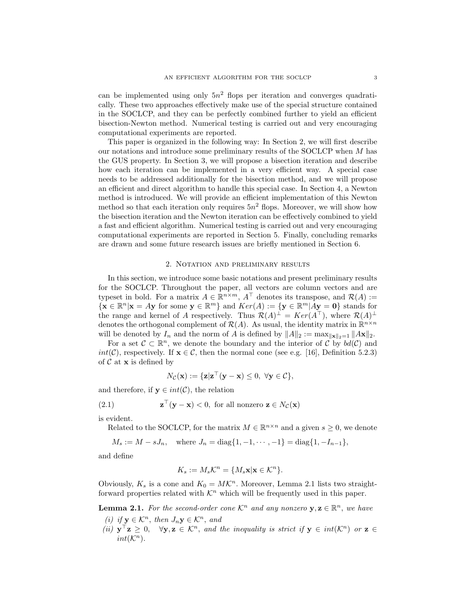can be implemented using only  $5n^2$  flops per iteration and converges quadratically. These two approaches effectively make use of the special structure contained in the SOCLCP, and they can be perfectly combined further to yield an efficient bisection-Newton method. Numerical testing is carried out and very encouraging computational experiments are reported.

This paper is organized in the following way: In Section 2, we will first describe our notations and introduce some preliminary results of the SOCLCP when M has the GUS property. In Section 3, we will propose a bisection iteration and describe how each iteration can be implemented in a very efficient way. A special case needs to be addressed additionally for the bisection method, and we will propose an efficient and direct algorithm to handle this special case. In Section 4, a Newton method is introduced. We will provide an efficient implementation of this Newton method so that each iteration only requires  $5n^2$  flops. Moreover, we will show how the bisection iteration and the Newton iteration can be effectively combined to yield a fast and efficient algorithm. Numerical testing is carried out and very encouraging computational experiments are reported in Section 5. Finally, concluding remarks are drawn and some future research issues are briefly mentioned in Section 6.

### 2. Notation and preliminary results

In this section, we introduce some basic notations and present preliminary results for the SOCLCP. Throughout the paper, all vectors are column vectors and are typeset in bold. For a matrix  $A \in \mathbb{R}^{n \times m}$ ,  $A^{\top}$  denotes its transpose, and  $\mathcal{R}(A) :=$  $\{ \mathbf{x} \in \mathbb{R}^n | \mathbf{x} = A\mathbf{y} \text{ for some } \mathbf{y} \in \mathbb{R}^m \}$  and  $Ker(A) := \{ \mathbf{y} \in \mathbb{R}^m | A\mathbf{y} = \mathbf{0} \}$  stands for the range and kernel of A respectively. Thus  $\mathcal{R}(A)^{\perp} = Ker(A^{\top})$ , where  $\mathcal{R}(A)^{\perp}$ denotes the orthogonal complement of  $\mathcal{R}(A)$ . As usual, the identity matrix in  $\mathbb{R}^{n \times n}$ will be denoted by  $I_n$  and the norm of A is defined by  $||A||_2 := \max_{||\mathbf{x}||_2=1} ||A\mathbf{x}||_2$ .

For a set  $\mathcal{C} \subset \mathbb{R}^n$ , we denote the boundary and the interior of  $\mathcal{C}$  by  $bd(\mathcal{C})$  and  $int(\mathcal{C})$ , respectively. If  $\mathbf{x} \in \mathcal{C}$ , then the normal cone (see e.g. [16], Definition 5.2.3) of  $\mathcal C$  at  $\mathbf x$  is defined by

$$
N_{\mathcal{C}}(\mathbf{x}) := \{ \mathbf{z} | \mathbf{z}^{\top} (\mathbf{y} - \mathbf{x}) \leq 0, \ \forall \mathbf{y} \in \mathcal{C} \},
$$

and therefore, if  $y \in int(C)$ , the relation

(2.1) 
$$
\mathbf{z}^{\top}(\mathbf{y} - \mathbf{x}) < 0
$$
, for all nonzero  $\mathbf{z} \in N_{\mathcal{C}}(\mathbf{x})$ 

is evident.

Related to the SOCLCP, for the matrix  $M \in \mathbb{R}^{n \times n}$  and a given  $s \geq 0$ , we denote

 $M_s := M - sJ_n$ , where  $J_n = \text{diag}\{1, -1, \dots, -1\} = \text{diag}\{1, -I_{n-1}\}$ ,

and define

$$
K_s := M_s \mathcal{K}^n = \{ M_s \mathbf{x} | \mathbf{x} \in \mathcal{K}^n \}.
$$

Obviously,  $K_s$  is a cone and  $K_0 = MK^n$ . Moreover, Lemma 2.1 lists two straightforward properties related with  $\mathcal{K}^n$  which will be frequently used in this paper.

**Lemma 2.1.** For the second-order cone  $\mathcal{K}^n$  and any nonzero  $y, z \in \mathbb{R}^n$ , we have

- (i) if  $\mathbf{v} \in \mathcal{K}^n$ , then  $J_n \mathbf{v} \in \mathcal{K}^n$ , and
- (ii)  $\mathbf{y}^\top \mathbf{z} \geq 0$ ,  $\forall \mathbf{y}, \mathbf{z} \in \mathcal{K}^n$ , and the inequality is strict if  $\mathbf{y} \in int(\mathcal{K}^n)$  or  $\mathbf{z} \in$  $int(K^n)$ .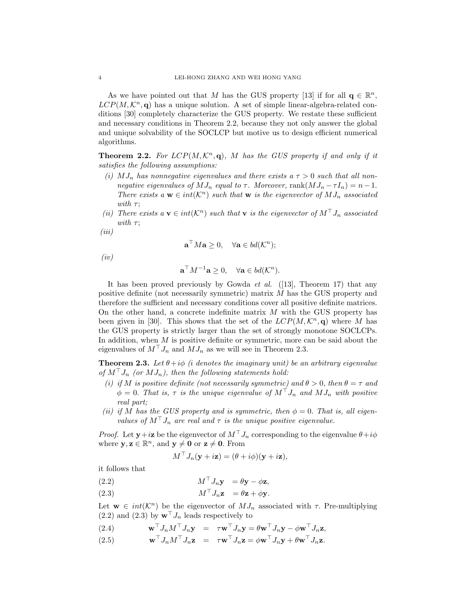As we have pointed out that M has the GUS property [13] if for all  $\mathbf{q} \in \mathbb{R}^n$ ,  $LCP(M, \mathcal{K}^n, \mathbf{q})$  has a unique solution. A set of simple linear-algebra-related conditions [30] completely characterize the GUS property. We restate these sufficient and necessary conditions in Theorem 2.2, because they not only answer the global and unique solvability of the SOCLCP but motive us to design efficient numerical algorithms.

**Theorem 2.2.** For  $LCP(M, \mathcal{K}^n, \mathbf{q})$ , M has the GUS property if and only if it satisfies the following assumptions:

- (i)  $MJ_n$  has nonnegative eigenvalues and there exists a  $\tau > 0$  such that all nonnegative eigenvalues of  $MJ_n$  equal to  $\tau$ . Moreover, rank $(MJ_n - \tau I_n) = n-1$ . There exists a  $\mathbf{w} \in int(\mathcal{K}^n)$  such that  $\mathbf{w}$  is the eigenvector of  $MJ_n$  associated with  $\tau$ ;
- (ii) There exists  $a \mathbf{v} \in int(\mathcal{K}^n)$  such that  $\mathbf{v}$  is the eigenvector of  $M^\top J_n$  associated with  $\tau$ ;
- (iii)

$$
\mathbf{a}^{\top} M \mathbf{a} \ge 0, \quad \forall \mathbf{a} \in bd(\mathcal{K}^n);
$$

(iv)

$$
\mathbf{a}^{\top} M^{-1} \mathbf{a} \ge 0, \quad \forall \mathbf{a} \in bd(\mathcal{K}^n).
$$

It has been proved previously by Gowda *et al.* ([13], Theorem 17) that any positive definite (not necessarily symmetric) matrix M has the GUS property and therefore the sufficient and necessary conditions cover all positive definite matrices. On the other hand, a concrete indefinite matrix  $M$  with the GUS property has been given in [30]. This shows that the set of the  $LCP(M, \mathcal{K}^n, \mathbf{q})$  where M has the GUS property is strictly larger than the set of strongly monotone SOCLCPs. In addition, when M is positive definite or symmetric, more can be said about the eigenvalues of  $M^{\top} J_n$  and  $M J_n$  as we will see in Theorem 2.3.

**Theorem 2.3.** Let  $\theta + i\phi$  (*i* denotes the imaginary unit) be an arbitrary eigenvalue of  $M^{\dagger} J_n$  (or  $MJ_n$ ), then the following statements hold:

- (i) if M is positive definite (not necessarily symmetric) and  $\theta > 0$ , then  $\theta = \tau$  and  $\phi = 0$ . That is,  $\tau$  is the unique eigenvalue of  $M^{\top} J_n$  and  $MJ_n$  with positive real part;
- (ii) if M has the GUS property and is symmetric, then  $\phi = 0$ . That is, all eigenvalues of  $M^{\top} J_n$  are real and  $\tau$  is the unique positive eigenvalue.

*Proof.* Let  $y + i\mathbf{z}$  be the eigenvector of  $M<sup>T</sup>J<sub>n</sub>$  corresponding to the eigenvalue  $\theta + i\phi$ where  $y, z \in \mathbb{R}^n$ , and  $y \neq 0$  or  $z \neq 0$ . From

$$
M^{\top} J_n(\mathbf{y} + i\mathbf{z}) = (\theta + i\phi)(\mathbf{y} + i\mathbf{z}),
$$

it follows that

- (2.2)  $M^\top J_n \mathbf{y} = \theta \mathbf{y} \phi \mathbf{z},$
- (2.3)  $M^\top J_n \mathbf{z} = \theta \mathbf{z} + \phi \mathbf{v}$ .

Let  $\mathbf{w} \in int(\mathcal{K}^n)$  be the eigenvector of  $MJ_n$  associated with  $\tau$ . Pre-multiplying  $(2.2)$  and  $(2.3)$  by  $\mathbf{w}^{\top} J_n$  leads respectively to

- (2.4)  $\mathbf{w}^{\top} J_n M^{\top} J_n \mathbf{y} = \tau \mathbf{w}^{\top} J_n \mathbf{y} = \theta \mathbf{w}^{\top} J_n \mathbf{y} \phi \mathbf{w}^{\top} J_n \mathbf{z}$
- (2.5)  $\mathbf{w}^{\top} J_n M^{\top} J_n \mathbf{z} = \tau \mathbf{w}^{\top} J_n \mathbf{z} = \phi \mathbf{w}^{\top} J_n \mathbf{y} + \theta \mathbf{w}^{\top} J_n \mathbf{z}.$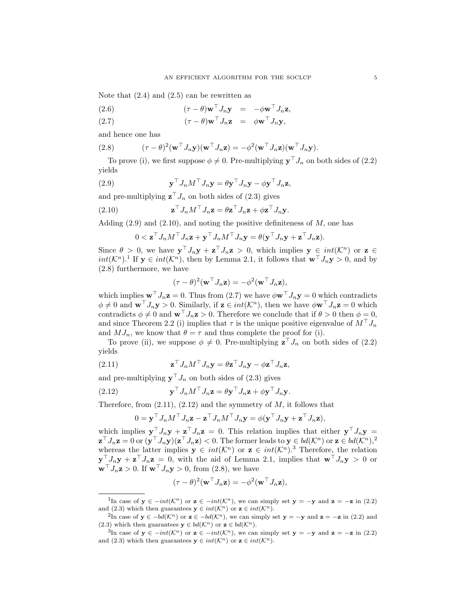Note that  $(2.4)$  and  $(2.5)$  can be rewritten as

(2.6) 
$$
(\tau - \theta)\mathbf{w}^\top J_n \mathbf{y} = -\phi \mathbf{w}^\top J_n \mathbf{z},
$$

(2.7) 
$$
(\tau - \theta) \mathbf{w}^\top J_n \mathbf{z} = \phi \mathbf{w}^\top J_n \mathbf{y},
$$

and hence one has

(2.8) 
$$
(\tau - \theta)^2 (\mathbf{w}^\top J_n \mathbf{y}) (\mathbf{w}^\top J_n \mathbf{z}) = -\phi^2 (\mathbf{w}^\top J_n \mathbf{z}) (\mathbf{w}^\top J_n \mathbf{y}).
$$

To prove (i), we first suppose  $\phi \neq 0$ . Pre-multiplying  $\mathbf{y}^\top J_n$  on both sides of (2.2) yields

(2.9) 
$$
\mathbf{y}^{\top} J_n M^{\top} J_n \mathbf{y} = \theta \mathbf{y}^{\top} J_n \mathbf{y} - \phi \mathbf{y}^{\top} J_n \mathbf{z},
$$

and pre-multiplying  $\mathbf{z}^\top J_n$  on both sides of (2.3) gives

(2.10) 
$$
\mathbf{z}^\top J_n M^\top J_n \mathbf{z} = \theta \mathbf{z}^\top J_n \mathbf{z} + \phi \mathbf{z}^\top J_n \mathbf{y}.
$$

Adding  $(2.9)$  and  $(2.10)$ , and noting the positive definiteness of M, one has

$$
0 < \mathbf{z}^\top J_n M^\top J_n \mathbf{z} + \mathbf{y}^\top J_n M^\top J_n \mathbf{y} = \theta (\mathbf{y}^\top J_n \mathbf{y} + \mathbf{z}^\top J_n \mathbf{z}).
$$

Since  $\theta > 0$ , we have  $\mathbf{y}^\top J_n \mathbf{y} + \mathbf{z}^\top J_n \mathbf{z} > 0$ , which implies  $\mathbf{y} \in int(\mathcal{K}^n)$  or  $\mathbf{z} \in$  $int(\mathcal{K}^n)$ .<sup>1</sup> If  $y \in int(\mathcal{K}^n)$ , then by Lemma 2.1, it follows that  $\mathbf{w}^\top J_n \mathbf{y} > 0$ , and by (2.8) furthermore, we have

$$
(\tau - \theta)^2 (\mathbf{w}^\top J_n \mathbf{z}) = -\phi^2 (\mathbf{w}^\top J_n \mathbf{z}),
$$

which implies  $\mathbf{w}^\top J_n \mathbf{z} = 0$ . Thus from (2.7) we have  $\phi \mathbf{w}^\top J_n \mathbf{y} = 0$  which contradicts  $\phi \neq 0$  and  $\mathbf{w}^\top J_n \mathbf{y} > 0$ . Similarly, if  $\mathbf{z} \in int(\mathcal{K}^n)$ , then we have  $\phi \mathbf{w}^\top J_n \mathbf{z} = 0$  which contradicts  $\phi \neq 0$  and  $\mathbf{w}^\top J_n \mathbf{z} > 0$ . Therefore we conclude that if  $\theta > 0$  then  $\phi = 0$ , and since Theorem 2.2 (i) implies that  $\tau$  is the unique positive eigenvalue of  $M^{\dagger} J_n$ and  $MJ_n$ , we know that  $\theta = \tau$  and thus complete the proof for (i).

To prove (ii), we suppose  $\phi \neq 0$ . Pre-multiplying  $\mathbf{z}^{\top} J_n$  on both sides of (2.2) yields

(2.11) 
$$
\mathbf{z}^\top J_n M^\top J_n \mathbf{y} = \theta \mathbf{z}^\top J_n \mathbf{y} - \phi \mathbf{z}^\top J_n \mathbf{z},
$$

and pre-multiplying  $\mathbf{y}^\top J_n$  on both sides of (2.3) gives

(2.12) 
$$
\mathbf{y}^\top J_n M^\top J_n \mathbf{z} = \theta \mathbf{y}^\top J_n \mathbf{z} + \phi \mathbf{y}^\top J_n \mathbf{y}.
$$

Therefore, from  $(2.11)$ ,  $(2.12)$  and the symmetry of M, it follows that

$$
0 = \mathbf{y}^\top J_n M^\top J_n \mathbf{z} - \mathbf{z}^\top J_n M^\top J_n \mathbf{y} = \phi(\mathbf{y}^\top J_n \mathbf{y} + \mathbf{z}^\top J_n \mathbf{z}),
$$

which implies  $\mathbf{y}^\top J_n \mathbf{y} + \mathbf{z}^\top J_n \mathbf{z} = 0$ . This relation implies that either  $\mathbf{y}^\top J_n \mathbf{y} =$  $\mathbf{z}^\top J_n \mathbf{z} = 0$  or  $(\mathbf{y}^\top J_n \mathbf{y})(\mathbf{z}^\top J_n \mathbf{z}) < 0$ . The former leads to  $\mathbf{y} \in bd(\mathcal{K}^n)$  or  $\mathbf{z} \in bd(\mathcal{K}^n)$ ,<sup>2</sup> whereas the latter implies  $y \in int(K^{n})$  or  $z \in int(K^{n})$ .<sup>3</sup> Therefore, the relation  $\mathbf{y}^\top J_n \mathbf{y} + \mathbf{z}^\top J_n \mathbf{z} = 0$ , with the aid of Lemma 2.1, implies that  $\mathbf{w}^\top J_n \mathbf{y} > 0$  or  $\mathbf{w}^\top J_n \mathbf{z} > 0$ . If  $\mathbf{w}^\top J_n \mathbf{y} > 0$ , from (2.8), we have

$$
(\tau - \theta)^2 (\mathbf{w}^\top J_n \mathbf{z}) = -\phi^2 (\mathbf{w}^\top J_n \mathbf{z}),
$$

<sup>&</sup>lt;sup>1</sup>In case of  $y \in -int(\mathcal{K}^n)$  or  $z \in -int(\mathcal{K}^n)$ , we can simply set  $y = -y$  and  $z = -z$  in (2.2) and (2.3) which then guarantees  $y \in int(\mathcal{K}^n)$  or  $z \in int(\mathcal{K}^n)$ .

<sup>&</sup>lt;sup>2</sup>In case of **y** ∈  $-bd(\mathcal{K}^n)$  or **z** ∈  $-bd(\mathcal{K}^n)$ , we can simply set **y** = -**y** and **z** = -**z** in (2.2) and (2.3) which then guarantees  $y \in bd(\mathcal{K}^n)$  or  $z \in bd(\mathcal{K}^n)$ .

<sup>&</sup>lt;sup>3</sup>In case of  $y \in -int(\mathcal{K}^n)$  or  $z \in -int(\mathcal{K}^n)$ , we can simply set  $y = -y$  and  $z = -z$  in (2.2) and (2.3) which then guarantees  $y \in int(\mathcal{K}^n)$  or  $z \in int(\mathcal{K}^n)$ .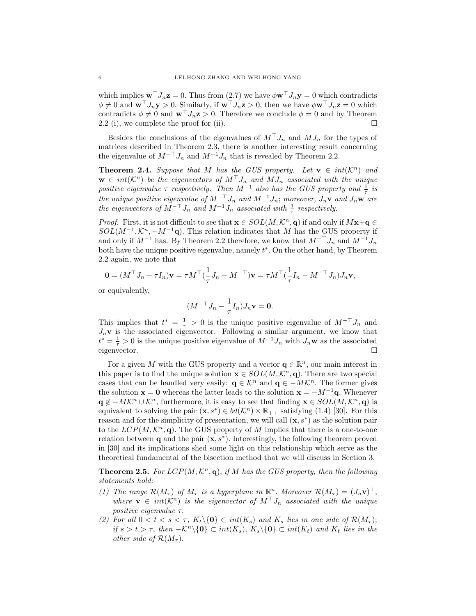which implies  $\mathbf{w}^\top J_n \mathbf{z} = 0$ . Thus from (2.7) we have  $\phi \mathbf{w}^\top J_n \mathbf{y} = 0$  which contradicts  $\phi \neq 0$  and  $\mathbf{w}^\top J_n \mathbf{y} > 0$ . Similarly, if  $\mathbf{w}^\top J_n \mathbf{z} > 0$ , then we have  $\phi \mathbf{w}^\top J_n \mathbf{z} = 0$  which contradicts  $\phi \neq 0$  and  $\mathbf{w}^\top J_n \mathbf{z} > 0$ . Therefore we conclude  $\phi = 0$  and by Theorem 2.2 (i), we complete the proof for (ii).  $\Box$ 

Besides the conclusions of the eigenvalues of  $M<sup>T</sup>J<sub>n</sub>$  and  $MJ<sub>n</sub>$  for the types of matrices described in Theorem 2.3, there is another interesting result concerning the eigenvalue of  $M^{-\top} J_n$  and  $M^{-1} J_n$  that is revealed by Theorem 2.2.

**Theorem 2.4.** Suppose that M has the GUS property. Let  $\mathbf{v} \in int(\mathcal{K}^n)$  and  $\mathbf{w} \in int(\mathcal{K}^n)$  be the eigenvectors of  $M^\top J_n$  and  $MJ_n$  associated with the unique positive eigenvalue  $\tau$  respectively. Then  $M^{-1}$  also has the GUS property and  $\frac{1}{\tau}$  is the unique positive eigenvalue of  $M^{-\top}J_n$  and  $M^{-1}J_n$ ; moreover,  $J_n\mathbf{v}$  and  $J_n\mathbf{w}$  are the eigenvectors of  $M^{-\top} J_n$  and  $M^{-1} J_n$  associated with  $\frac{1}{\tau}$  respectively.

*Proof.* First, it is not difficult to see that  $\mathbf{x} \in SOL(M,\mathcal{K}^n,\mathbf{q})$  if and only if  $M\mathbf{x}+\mathbf{q} \in$  $SOL(M^{-1}, \mathcal{K}^n, -M^{-1}\mathbf{q})$ . This relation indicates that M has the GUS property if and only if  $M^{-1}$  has. By Theorem 2.2 therefore, we know that  $M^{-\top} J_n$  and  $M^{-1} J_n$ both have the unique positive eigenvalue, namely  $t^*$ . On the other hand, by Theorem 2.2 again, we note that

$$
\mathbf{0}=(M^\top J_n-\tau I_n)\mathbf{v}=\tau M^\top(\frac{1}{\tau}J_n-M^{-\top})\mathbf{v}=\tau M^\top(\frac{1}{\tau}I_n-M^{-\top}J_n)J_n\mathbf{v},
$$

or equivalently,

$$
(M^{-\top}J_n - \frac{1}{\tau}I_n)J_n\mathbf{v} = \mathbf{0}.
$$

This implies that  $t^* = \frac{1}{\tau} > 0$  is the unique positive eigenvalue of  $M^{-\top} J_n$  and  $J_n$ **v** is the associated eigenvector. Following a similar argument, we know that  $t^* = \frac{1}{\tau} > 0$  is the unique positive eigenvalue of  $M^{-1} J_n$  with  $J_n \mathbf{w}$  as the associated eigenvector.

For a given M with the GUS property and a vector  $\mathbf{q} \in \mathbb{R}^n$ , our main interest in this paper is to find the unique solution  $\mathbf{x} \in SOL(M,\mathcal{K}^n,\mathbf{q})$ . There are two special cases that can be handled very easily:  $\mathbf{q} \in \mathcal{K}^n$  and  $\mathbf{q} \in -M\mathcal{K}^n$ . The former gives the solution  $\mathbf{x} = \mathbf{0}$  whereas the latter leads to the solution  $\mathbf{x} = -M^{-1}\mathbf{q}$ . Whenever  $\mathbf{q} \notin -MK^n \cup \mathcal{K}^n$ , furthermore, it is easy to see that finding  $\mathbf{x} \in SOL(M,\mathcal{K}^n,\mathbf{q})$  is equivalent to solving the pair  $(\mathbf{x}, s^*) \in bd(\mathcal{K}^n) \times \mathbb{R}_{++}$  satisfying (1.4) [30]. For this reason and for the simplicity of presentation, we will call  $(\mathbf{x}, s^*)$  as the solution pair to the  $LCP(M,\mathcal{K}^n,\mathbf{q})$ . The GUS property of M implies that there is a one-to-one relation between  $\mathbf q$  and the pair  $(\mathbf x, s^*)$ . Interestingly, the following theorem proved in [30] and its implications shed some light on this relationship which serve as the theoretical fundamental of the bisection method that we will discuss in Section 3.

**Theorem 2.5.** For  $LCP(M, \mathcal{K}^n, \mathbf{q})$ , if M has the GUS property, then the following statements hold:

- (1) The range  $\mathcal{R}(M_{\tau})$  of  $M_{\tau}$  is a hyperplane in  $\mathbb{R}^n$ . Moreover  $\mathcal{R}(M_{\tau}) = (J_n \mathbf{v})^{\perp}$ , where  $\mathbf{v} \in int(\mathcal{K}^n)$  is the eigenvector of  $M^{\top} J_n$  associated with the unique positive eigenvalue τ.
- (2) For all  $0 < t < s < \tau$ ,  $K_t \setminus \{0\} \subset int(K_s)$  and  $K_s$  lies in one side of  $\mathcal{R}(M_\tau)$ ; if  $s > t > \tau$ , then  $-\mathcal{K}^n \setminus \{0\} \subset int(K_s)$ ,  $K_s \setminus \{0\} \subset int(K_t)$  and  $K_t$  lies in the other side of  $\mathcal{R}(M_\tau)$ .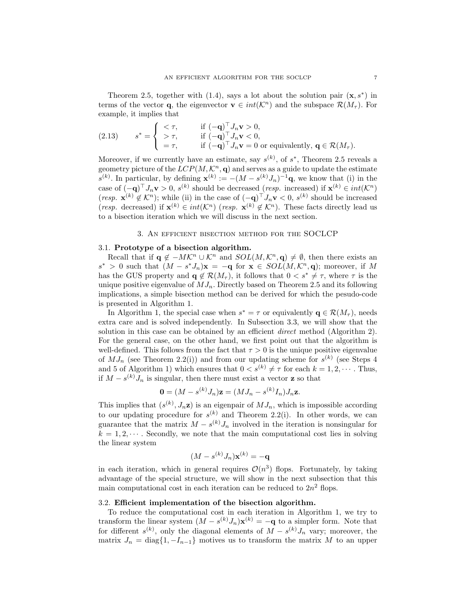Theorem 2.5, together with (1.4), says a lot about the solution pair  $(\mathbf{x}, s^*)$  in terms of the vector **q**, the eigenvector  $\mathbf{v} \in int(\mathcal{K}^n)$  and the subspace  $\mathcal{R}(M_\tau)$ . For example, it implies that

(2.13) 
$$
s^* = \begin{cases} < \tau, & \text{if } (-\mathbf{q})^\top J_n \mathbf{v} > 0, \\ > \tau, & \text{if } (-\mathbf{q})^\top J_n \mathbf{v} < 0, \\ = \tau, & \text{if } (-\mathbf{q})^\top J_n \mathbf{v} = 0 \text{ or equivalently, } \mathbf{q} \in \mathcal{R}(M_\tau). \end{cases}
$$

Moreover, if we currently have an estimate, say  $s^{(k)}$ , of  $s^*$ , Theorem 2.5 reveals a geometry picture of the  $LCP(M, \mathcal{K}^n, \mathbf{q})$  and serves as a guide to update the estimate  $s^{(k)}$ . In particular, by defining  $\mathbf{x}^{(k)} := -(M - s^{(k)}J_n)^{-1}\mathbf{q}$ , we know that (i) in the case of  $(-\mathbf{q})^{\top} J_n \mathbf{v} > 0$ ,  $s^{(k)}$  should be decreased (resp. increased) if  $\mathbf{x}^{(k)} \in int(\mathcal{K}^n)$ (resp.  $\mathbf{x}^{(k)} \notin \mathcal{K}^n$ ); while (ii) in the case of  $(-\mathbf{q})^\top J_n \mathbf{v} < 0$ ,  $s^{(k)}$  should be increased (resp. decreased) if  $\mathbf{x}^{(k)} \in int(\mathcal{K}^n)$  (resp.  $\mathbf{x}^{(k)} \notin \mathcal{K}^n$ ). These facts directly lead us to a bisection iteration which we will discuss in the next section.

#### 3. An efficient bisection method for the SOCLCP

### 3.1. Prototype of a bisection algorithm.

Recall that if  $\mathbf{q} \notin -MK^n \cup \mathcal{K}^n$  and  $SOL(M, \mathcal{K}^n, \mathbf{q}) \neq \emptyset$ , then there exists an  $s^*$  > 0 such that  $(M - s^*J_n)x = -q$  for  $x ∈ SOL(M, \mathcal{K}^n, q)$ ; moreover, if M has the GUS property and  $\mathbf{q} \notin \mathcal{R}(M_\tau)$ , it follows that  $0 < s^* \neq \tau$ , where  $\tau$  is the unique positive eigenvalue of  $MJ_n$ . Directly based on Theorem 2.5 and its following implications, a simple bisection method can be derived for which the pesudo-code is presented in Algorithm 1.

In Algorithm 1, the special case when  $s^* = \tau$  or equivalently  $\mathbf{q} \in \mathcal{R}(M_{\tau})$ , needs extra care and is solved independently. In Subsection 3.3, we will show that the solution in this case can be obtained by an efficient direct method (Algorithm 2). For the general case, on the other hand, we first point out that the algorithm is well-defined. This follows from the fact that  $\tau > 0$  is the unique positive eigenvalue of  $MJ_n$  (see Theorem 2.2(i)) and from our updating scheme for  $s^{(k)}$  (see Steps 4 and 5 of Algorithm 1) which ensures that  $0 < s^{(k)} \neq \tau$  for each  $k = 1, 2, \cdots$ . Thus, if  $M - s^{(k)}J_n$  is singular, then there must exist a vector **z** so that

$$
\mathbf{0} = (M - s^{(k)} J_n)\mathbf{z} = (MJ_n - s^{(k)} I_n)J_n\mathbf{z}.
$$

This implies that  $(s^{(k)}, J_n z)$  is an eigenpair of  $MJ_n$ , which is impossible according to our updating procedure for  $s^{(k)}$  and Theorem 2.2(i). In other words, we can guarantee that the matrix  $M - s^{(k)} J_n$  involved in the iteration is nonsingular for  $k = 1, 2, \dots$ . Secondly, we note that the main computational cost lies in solving the linear system

$$
(M - s^{(k)}J_n)\mathbf{x}^{(k)} = -\mathbf{q}
$$

in each iteration, which in general requires  $\mathcal{O}(n^3)$  flops. Fortunately, by taking advantage of the special structure, we will show in the next subsection that this main computational cost in each iteration can be reduced to  $2n^2$  flops.

# 3.2. Efficient implementation of the bisection algorithm.

To reduce the computational cost in each iteration in Algorithm 1, we try to transform the linear system  $(M - s^{(k)}J_n)\mathbf{x}^{(k)} = -\mathbf{q}$  to a simpler form. Note that for different  $s^{(k)}$ , only the diagonal elements of  $M - s^{(k)} J_n$  vary; moreover, the matrix  $J_n = \text{diag}\{1, -I_{n-1}\}\$  motives us to transform the matrix M to an upper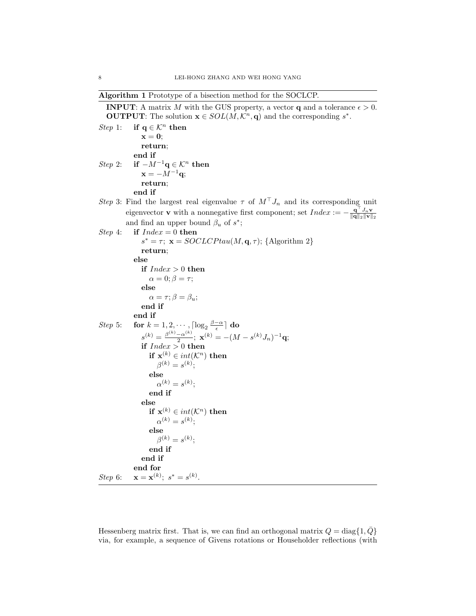Algorithm 1 Prototype of a bisection method for the SOCLCP.

**INPUT:** A matrix M with the GUS property, a vector **q** and a tolerance  $\epsilon > 0$ . **OUTPUT:** The solution  $\mathbf{x} \in SOL(M,\mathcal{K}^n,\mathbf{q})$  and the corresponding  $s^*$ .

```
Step 1: if q \in \mathcal{K}^n then
                   \mathbf{x} = \mathbf{0};
                   return;
                end if
Step 2: if -M^{-1}\mathbf{q} \in \mathcal{K}^n then
                   \mathbf{x} = -M^{-1}\mathbf{q};return;
                end if
Step 3: Find the largest real eigenvalue \tau of M^{\top}J_n and its corresponding unit
             eigenvector v with a nonnegative first component; set Index := -\frac{\mathbf{q}^\top J_n \mathbf{v}}{\|\mathbf{q}\|_2 \|\mathbf{v}\|_2}and find an upper bound \beta_u of s^*;
Step 4: if Index = 0 then
                    s^* = \tau; \mathbf{x} = SOCLCPtau(M, \mathbf{q}, \tau); {Algorithm 2}
                   return;
                else
                   if Index > 0 then
                       \alpha = 0; \beta = \tau;else
                       \alpha = \tau; \beta = \beta_u;
                   end if
                end if
Step 5: for k = 1, 2, \dots, \lceil \log_2 \frac{\beta - \alpha}{\epsilon} \rceil do
                    s^{(k)} = \frac{\beta^{(k)} - \alpha^{(k)}}{2}\frac{1}{2}e^{-\alpha^{(k)}}; \; \mathbf{x}^{(k)} = -(M-s^{(k)}J_n)^{-1}\mathbf{q};if Index > 0 then
                      if \mathbf{x}^{(k)} \in int(\mathcal{K}^n) then
                           \beta^{(k)} = s^{(k)};
                       else
                           \alpha^{(k)} = s^{(k)};
                       end if
                   else
                       if \mathbf{x}^{(k)} \in int(\mathcal{K}^n) then
                           \alpha^{(k)} = s^{(k)};
                       else
                           \beta^{(k)}=s^{(k)};end if
                   end if
                end for
Step 6:(k); s^* = s^{(k)}.
```
Hessenberg matrix first. That is, we can find an orthogonal matrix  $Q = \text{diag}\{1, Q\}$ via, for example, a sequence of Givens rotations or Householder reflections (with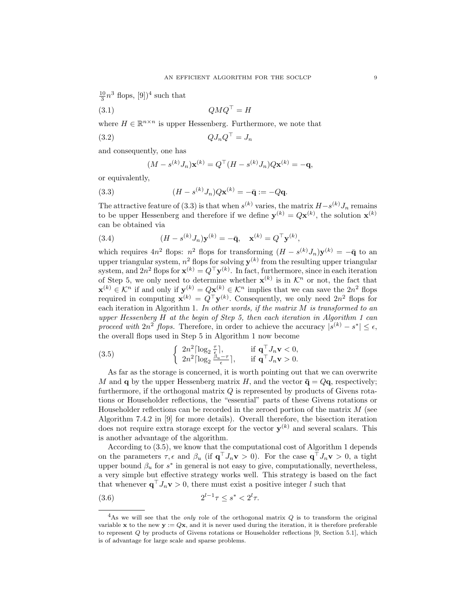$\frac{10}{3}n^3$  flops,  $[9]$ <sup>4</sup> such that

$$
(3.1) \t\t QMQ^{\top} = H
$$

where  $H \in \mathbb{R}^{n \times n}$  is upper Hessenberg. Furthermore, we note that

$$
(3.2)\t\t\t QJ_nQ^\top = J_n
$$

and consequently, one has

$$
(M - s^{(k)}J_n)\mathbf{x}^{(k)} = Q^{\top}(H - s^{(k)}J_n)Q\mathbf{x}^{(k)} = -\mathbf{q},
$$

or equivalently,

(3.3) 
$$
(H - s^{(k)} J_n) Q \mathbf{x}^{(k)} = -\bar{\mathbf{q}} := -Q \mathbf{q}.
$$

The attractive feature of (3.3) is that when  $s^{(k)}$  varies, the matrix  $H-s^{(k)}J_n$  remains to be upper Hessenberg and therefore if we define  $\mathbf{y}^{(k)} = Q\mathbf{x}^{(k)}$ , the solution  $\mathbf{x}^{(k)}$ can be obtained via

(3.4) 
$$
(H - s^{(k)} J_n) \mathbf{y}^{(k)} = -\bar{\mathbf{q}}, \quad \mathbf{x}^{(k)} = Q^{\top} \mathbf{y}^{(k)},
$$

which requires  $4n^2$  flops:  $n^2$  flops for transforming  $(H - s^{(k)}J_n)\mathbf{y}^{(k)} = -\bar{\mathbf{q}}$  to an upper triangular system,  $n^2$  flops for solving  $\mathbf{y}^{(k)}$  from the resulting upper triangular system, and  $2n^2$  flops for  $\mathbf{x}^{(k)} = Q^{\top} \mathbf{y}^{(k)}$ . In fact, furthermore, since in each iteration of Step 5, we only need to determine whether  $\mathbf{x}^{(k)}$  is in  $\mathcal{K}^n$  or not, the fact that  $\mathbf{x}^{(k)} \in \mathcal{K}^n$  if and only if  $\mathbf{y}^{(k)} = Q\mathbf{x}^{(k)} \in \mathcal{K}^n$  implies that we can save the  $2n^2$  flops required in computing  $\mathbf{x}^{(k)} = Q^{\top} \mathbf{y}^{(k)}$ . Consequently, we only need  $2n^2$  flops for each iteration in Algorithm 1. In other words, if the matrix  $M$  is transformed to an upper Hessenberg  $H$  at the begin of Step 5, then each iteration in Algorithm 1 can proceed with  $2n^2$  flops. Therefore, in order to achieve the accuracy  $|s^{(k)} - s^*| \leq \epsilon$ , the overall flops used in Step 5 in Algorithm 1 now become

(3.5) 
$$
\begin{cases} 2n^2 \lceil \log_2 \frac{\tau}{\epsilon} \rceil, & \text{if } \mathbf{q}^\top J_n \mathbf{v} < 0, \\ 2n^2 \lceil \log_2 \frac{\beta_u - \tau}{\epsilon} \rceil, & \text{if } \mathbf{q}^\top J_n \mathbf{v} > 0. \end{cases}
$$

As far as the storage is concerned, it is worth pointing out that we can overwrite M and **q** by the upper Hessenberg matrix H, and the vector  $\bar{\mathbf{q}} = Q\mathbf{q}$ , respectively; furthermore, if the orthogonal matrix  $Q$  is represented by products of Givens rotations or Householder reflections, the "essential" parts of these Givens rotations or Householder reflections can be recorded in the zeroed portion of the matrix  $M$  (see Algorithm 7.4.2 in [9] for more details). Overall therefore, the bisection iteration does not require extra storage except for the vector  $y^{(k)}$  and several scalars. This is another advantage of the algorithm.

According to (3.5), we know that the computational cost of Algorithm 1 depends on the parameters  $\tau, \epsilon$  and  $\beta_u$  (if  $\mathbf{q}^\top J_n \mathbf{v} > 0$ ). For the case  $\mathbf{q}^\top J_n \mathbf{v} > 0$ , a tight upper bound  $\beta_u$  for  $s^*$  in general is not easy to give, computationally, nevertheless, a very simple but effective strategy works well. This strategy is based on the fact that whenever  $\mathbf{q}^\top J_n \mathbf{v} > 0$ , there must exist a positive integer l such that

$$
(3.6) \t\t 2^{l-1}\tau \le s^* < 2^l\tau.
$$

 ${}^{4}$ As we will see that the *only* role of the orthogonal matrix  $Q$  is to transform the original variable x to the new  $y := Qx$ , and it is never used during the iteration, it is therefore preferable to represent Q by products of Givens rotations or Householder reflections [9, Section 5.1], which is of advantage for large scale and sparse problems.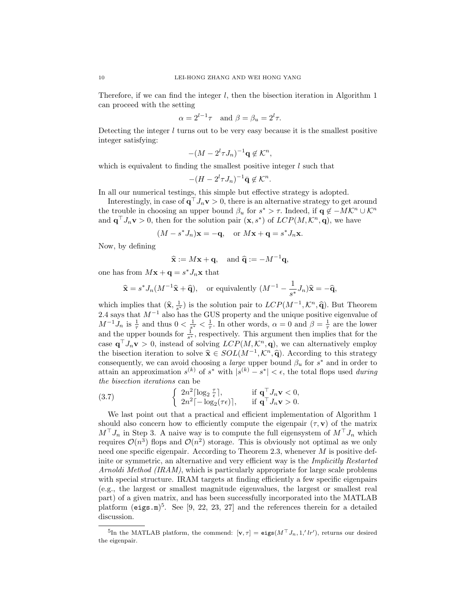Therefore, if we can find the integer  $l$ , then the bisection iteration in Algorithm 1 can proceed with the setting

$$
\alpha = 2^{l-1}\tau
$$
 and  $\beta = \beta_u = 2^l\tau$ .

Detecting the integer  $l$  turns out to be very easy because it is the smallest positive integer satisfying:

$$
-(M-2^l\tau J_n)^{-1}\mathbf{q}\not\in\mathcal{K}^n,
$$

which is equivalent to finding the smallest positive integer  $l$  such that

$$
-(H-2^l\tau J_n)^{-1}\bar{\mathbf{q}}\not\in\mathcal{K}^n.
$$

In all our numerical testings, this simple but effective strategy is adopted.

Interestingly, in case of  $\mathbf{q}^\top J_n \mathbf{v} > 0$ , there is an alternative strategy to get around the trouble in choosing an upper bound  $\beta_u$  for  $s^* > \tau$ . Indeed, if  $\mathbf{q} \notin -MK^n \cup \mathcal{K}^n$ and  $\mathbf{q}^{\top} J_n \mathbf{v} > 0$ , then for the solution pair  $(\mathbf{x}, s^*)$  of  $LCP(M, \mathcal{K}^n, \mathbf{q})$ , we have

$$
(M - s^*J_n)\mathbf{x} = -\mathbf{q}
$$
, or  $M\mathbf{x} + \mathbf{q} = s^*J_n\mathbf{x}$ .

Now, by defining

$$
\widehat{\mathbf{x}} := M\mathbf{x} + \mathbf{q}
$$
, and  $\widehat{\mathbf{q}} := -M^{-1}\mathbf{q}$ ,

one has from  $M\mathbf{x} + \mathbf{q} = s^* J_n\mathbf{x}$  that

$$
\widehat{\mathbf{x}} = s^* J_n(M^{-1}\widehat{\mathbf{x}} + \widehat{\mathbf{q}}),
$$
 or equivalently  $(M^{-1} - \frac{1}{s^*} J_n)\widehat{\mathbf{x}} = -\widehat{\mathbf{q}},$ 

which implies that  $(\hat{\mathbf{x}}, \frac{1}{s^*})$  is the solution pair to  $LCP(M^{-1}, \mathcal{K}^n, \hat{\mathbf{q}})$ . But Theorem 2.4 says that  $M^{-1}$  also has the GUS property and the unique positive eigenvalue of  $M^{-1}J_n$  is  $\frac{1}{\tau}$  and thus  $0<\frac{1}{s^*}<\frac{1}{\tau}$ . In other words,  $\alpha=0$  and  $\beta=\frac{1}{\tau}$  are the lower and the upper bounds for  $\frac{1}{s^*}$ , respectively. This argument then implies that for the case  $\mathbf{q}^\top J_n \mathbf{v} > 0$ , instead of solving  $LCP(M,\mathcal{K}^n,\mathbf{q})$ , we can alternatively employ the bisection iteration to solve  $\hat{\mathbf{x}} \in SOL(M^{-1}, \mathcal{K}^n, \hat{\mathbf{q}})$ . According to this strategy<br>consequently we can avoid choosing a lerge upper bound  $\beta$ , for  $s^*$  and in order to consequently, we can avoid choosing a *large* upper bound  $\beta_u$  for  $s^*$  and in order to attain an approximation  $s^{(k)}$  of  $s^*$  with  $|s^{(k)} - s^*| < \epsilon$ , the total flops used *during* the bisection iterations can be

(3.7) 
$$
\begin{cases} 2n^2 \lceil \log_2 \frac{\tau}{\epsilon} \rceil, & \text{if } \mathbf{q}^\top J_n \mathbf{v} < 0, \\ 2n^2 \lceil -\log_2(\tau \epsilon) \rceil, & \text{if } \mathbf{q}^\top J_n \mathbf{v} > 0. \end{cases}
$$

We last point out that a practical and efficient implementation of Algorithm 1 should also concern how to efficiently compute the eigenpair  $(\tau, \mathbf{v})$  of the matrix  $M^{\top}J_n$  in Step 3. A naive way is to compute the full eigensystem of  $M^{\top}J_n$  which requires  $\mathcal{O}(n^3)$  flops and  $\mathcal{O}(n^2)$  storage. This is obviously not optimal as we only need one specific eigenpair. According to Theorem 2.3, whenever M is positive definite or symmetric, an alternative and very efficient way is the *Implicitly Restarted* Arnoldi Method (IRAM), which is particularly appropriate for large scale problems with special structure. IRAM targets at finding efficiently a few specific eigenpairs (e.g., the largest or smallest magnitude eigenvalues, the largest or smallest real part) of a given matrix, and has been successfully incorporated into the MATLAB platform  $(eigs.m)^5$ . See [9, 22, 23, 27] and the references therein for a detailed discussion.

<sup>&</sup>lt;sup>5</sup>In the MATLAB platform, the commend:  $[\mathbf{v}, \tau] = \mathbf{eigs}(M^\top J_n, 1,'lr')$ , returns our desired the eigenpair.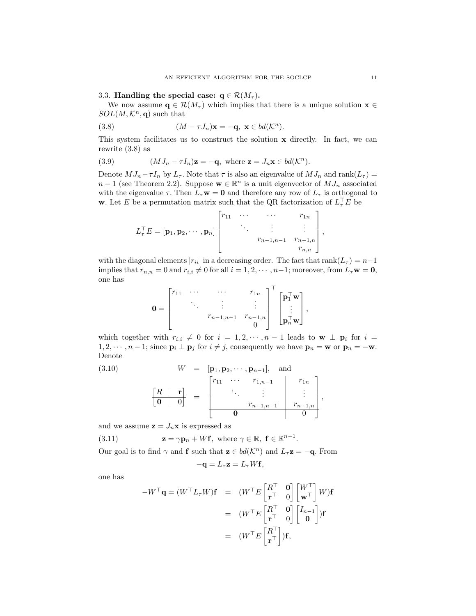#### 3.3. Handling the special case:  $q \in \mathcal{R}(M_\tau)$ .

We now assume  $\mathbf{q} \in \mathcal{R}(M_\tau)$  which implies that there is a unique solution  $\mathbf{x} \in \mathcal{R}(M_\tau)$  $SOL(M,\mathcal{K}^n,q)$  such that

(3.8) 
$$
(M - \tau J_n)\mathbf{x} = -\mathbf{q}, \ \mathbf{x} \in bd(\mathcal{K}^n).
$$

This system facilitates us to construct the solution x directly. In fact, we can rewrite (3.8) as

(3.9) 
$$
(MJ_n - \tau I_n)\mathbf{z} = -\mathbf{q}, \text{ where } \mathbf{z} = J_n\mathbf{x} \in bd(\mathcal{K}^n).
$$

Denote  $MJ_n-\tau I_n$  by  $L_{\tau}$ . Note that  $\tau$  is also an eigenvalue of  $MJ_n$  and  $rank(L_{\tau})=$  $n-1$  (see Theorem 2.2). Suppose  $\mathbf{w} \in \mathbb{R}^n$  is a unit eigenvector of  $MJ_n$  associated with the eigenvalue  $\tau$ . Then  $L_{\tau}$ **w** = 0 and therefore any row of  $L_{\tau}$  is orthogonal to **w**. Let E be a permutation matrix such that the QR factorization of  $L_{\tau}^{\top}E$  be

$$
L_{\tau}^{\top}E = [\mathbf{p}_1, \mathbf{p}_2, \cdots, \mathbf{p}_n] \begin{bmatrix} r_{11} & \cdots & \cdots & r_{1n} \\ \vdots & \vdots & \vdots \\ r_{n-1,n-1} & r_{n-1,n} \\ \vdots & \vdots \\ r_{n,n} \end{bmatrix},
$$

with the diagonal elements  $|r_{ii}|$  in a decreasing order. The fact that rank $(L_{\tau}) = n-1$ implies that  $r_{n,n} = 0$  and  $r_{i,i} \neq 0$  for all  $i = 1, 2, \cdots, n-1$ ; moreover, from  $L_{\tau}w = 0$ , one has

$$
\mathbf{0} = \begin{bmatrix} r_{11} & \cdots & \cdots & r_{1n} \\ & \ddots & \vdots & \vdots \\ & & r_{n-1,n-1} & r_{n-1,n} \\ & & & 0 \end{bmatrix}^\top \begin{bmatrix} \mathbf{p}_1^\top \mathbf{w} \\ \vdots \\ \mathbf{p}_n^\top \mathbf{w} \end{bmatrix},
$$

which together with  $r_{i,i} \neq 0$  for  $i = 1, 2, \dots, n - 1$  leads to  $\mathbf{w} \perp \mathbf{p}_i$  for  $i =$  $1, 2, \dots, n-1$ ; since  $\mathbf{p}_i \perp \mathbf{p}_j$  for  $i \neq j$ , consequently we have  $\mathbf{p}_n = \mathbf{w}$  or  $\mathbf{p}_n = -\mathbf{w}$ . Denote

(3.10) 
$$
W = [\mathbf{p}_1, \mathbf{p}_2, \cdots, \mathbf{p}_{n-1}], \text{ and}
$$

$$
\begin{bmatrix} R & \mathbf{r} \\ \mathbf{0} & 0 \end{bmatrix} = \begin{bmatrix} r_{11} & \cdots & r_{1,n-1} & r_{1n} \\ \ddots & \vdots & \vdots & \vdots \\ \mathbf{0} & \mathbf{0} & 0 \end{bmatrix},
$$

and we assume  $z = J_n x$  is expressed as

(3.11) 
$$
\mathbf{z} = \gamma \mathbf{p}_n + W \mathbf{f}, \text{ where } \gamma \in \mathbb{R}, \ \mathbf{f} \in \mathbb{R}^{n-1}.
$$

Our goal is to find  $\gamma$  and **f** such that  $z \in bd(\mathcal{K}^n)$  and  $L_{\tau}z = -q$ . From

$$
-\mathbf{q} = L_{\tau}\mathbf{z} = L_{\tau}W\mathbf{f},
$$

one has

$$
-W^{\top} \mathbf{q} = (W^{\top} L_{\tau} W) \mathbf{f} = (W^{\top} E \begin{bmatrix} R^{\top} & \mathbf{0} \\ \mathbf{r}^{\top} & 0 \end{bmatrix} \begin{bmatrix} W^{\top} \\ \mathbf{w}^{\top} \end{bmatrix} W) \mathbf{f}
$$

$$
= (W^{\top} E \begin{bmatrix} R^{\top} & \mathbf{0} \\ \mathbf{r}^{\top} & 0 \end{bmatrix} \begin{bmatrix} I_{n-1} \\ \mathbf{0} \end{bmatrix}) \mathbf{f}
$$

$$
= (W^{\top} E \begin{bmatrix} R^{\top} \\ \mathbf{r}^{\top} \end{bmatrix}) \mathbf{f},
$$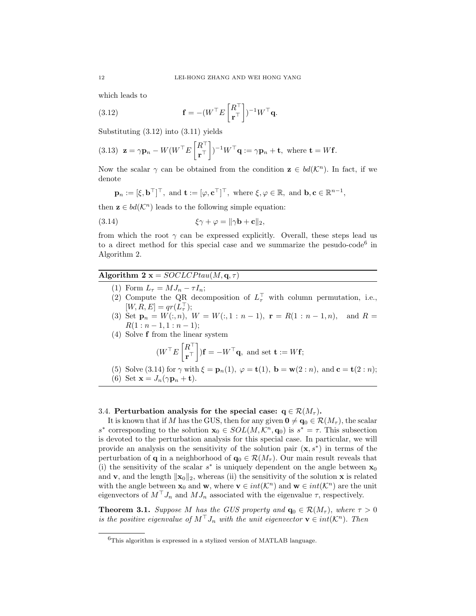which leads to

(3.12) 
$$
\mathbf{f} = -(W^{\top} E \begin{bmatrix} R^{\top} \\ \mathbf{r}^{\top} \end{bmatrix})^{-1} W^{\top} \mathbf{q}.
$$

Substituting (3.12) into (3.11) yields

(3.13) 
$$
\mathbf{z} = \gamma \mathbf{p}_n - W(W^\top E\begin{bmatrix} R^\top \\ \mathbf{r}^\top \end{bmatrix})^{-1} W^\top \mathbf{q} := \gamma \mathbf{p}_n + \mathbf{t}, \text{ where } \mathbf{t} = W \mathbf{f}.
$$

Now the scalar  $\gamma$  can be obtained from the condition  $\mathbf{z} \in bd(\mathcal{K}^n)$ . In fact, if we denote

$$
\mathbf{p}_n := [\xi, \mathbf{b}^\top]^\top
$$
, and  $\mathbf{t} := [\varphi, \mathbf{c}^\top]^\top$ , where  $\xi, \varphi \in \mathbb{R}$ , and  $\mathbf{b}, \mathbf{c} \in \mathbb{R}^{n-1}$ ,

then  $z \in bd(\mathcal{K}^n)$  leads to the following simple equation:

(3.14) 
$$
\xi \gamma + \varphi = ||\gamma \mathbf{b} + \mathbf{c}||_2,
$$

from which the root  $\gamma$  can be expressed explicitly. Overall, these steps lead us to a direct method for this special case and we summarize the pesudo-code<sup>6</sup> in Algorithm 2.

# Algorithm 2  $\mathbf{x} = SOCLCPtau(M, \mathbf{q}, \tau)$

- (1) Form  $L_{\tau} = MJ_n \tau I_n;$
- (2) Compute the QR decomposition of  $L^{\top}_{\tau}$  with column permutation, i.e.,  $[W, R, E] = qr(L^{\top}_{\tau});$
- (3) Set  $\mathbf{p}_n = W(:,n), W = W(:,1:n-1), \mathbf{r} = R(1:n-1,n), \text{ and } R =$  $R(1:n-1,1:n-1);$
- (4) Solve f from the linear system

$$
(W^{\top} E\begin{bmatrix} R^{\top} \\ \mathbf{r}^{\top} \end{bmatrix})\mathbf{f} = -W^{\top}\mathbf{q}
$$
, and set  $\mathbf{t} := W\mathbf{f}$ ;

(5) Solve (3.14) for  $\gamma$  with  $\xi = \mathbf{p}_n(1)$ ,  $\varphi = \mathbf{t}(1)$ ,  $\mathbf{b} = \mathbf{w}(2:n)$ , and  $\mathbf{c} = \mathbf{t}(2:n)$ ; (6) Set  $\mathbf{x} = J_n(\gamma \mathbf{p}_n + \mathbf{t}).$ 

### 3.4. Perturbation analysis for the special case:  $q \in \mathcal{R}(M_\tau)$ .

It is known that if M has the GUS, then for any given  $\mathbf{0} \neq \mathbf{q}_0 \in \mathcal{R}(M_\tau)$ , the scalar s<sup>\*</sup> corresponding to the solution  $\mathbf{x}_0 \in SOL(M,\mathcal{K}^n,\mathbf{q}_0)$  is  $s^* = \tau$ . This subsection is devoted to the perturbation analysis for this special case. In particular, we will provide an analysis on the sensitivity of the solution pair  $(x, s^*)$  in terms of the perturbation of **q** in a neighborhood of  $\mathbf{q}_0 \in \mathcal{R}(M_\tau)$ . Our main result reveals that (i) the sensitivity of the scalar  $s^*$  is uniquely dependent on the angle between  $\mathbf{x}_0$ and **v**, and the length  $\|\mathbf{x}_0\|_2$ , whereas (ii) the sensitivity of the solution **x** is related with the angle between  $\mathbf{x}_0$  and  $\mathbf{w}$ , where  $\mathbf{v} \in int(\mathcal{K}^n)$  and  $\mathbf{w} \in int(\mathcal{K}^n)$  are the unit eigenvectors of  $M^{\dagger} J_n$  and  $M J_n$  associated with the eigenvalue  $\tau$ , respectively.

**Theorem 3.1.** Suppose M has the GUS property and  $\mathbf{q}_0 \in \mathcal{R}(M_\tau)$ , where  $\tau > 0$ is the positive eigenvalue of  $M<sup>+</sup>J_n$  with the unit eigenvector  $\mathbf{v} \in int(\mathcal{K}^n)$ . Then

<sup>6</sup>This algorithm is expressed in a stylized version of MATLAB language.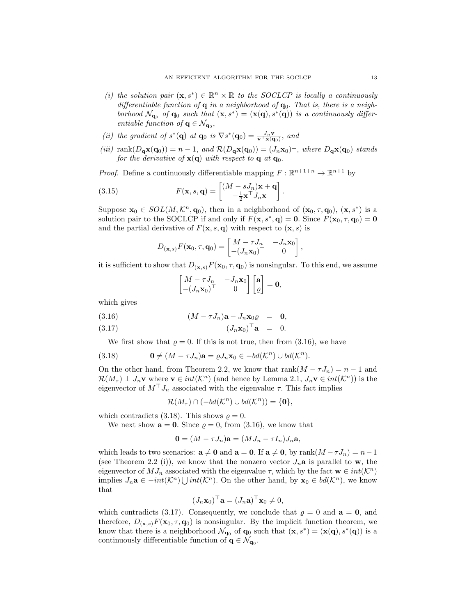- (i) the solution pair  $(\mathbf{x}, s^*) \in \mathbb{R}^n \times \mathbb{R}$  to the SOCLCP is locally a continuously differentiable function of  $q$  in a neighborhood of  $q_0$ . That is, there is a neighborhood  $\mathcal{N}_{\mathbf{q}_0}$  of  $\mathbf{q}_0$  such that  $(\mathbf{x}, s^*) = (\mathbf{x}(\mathbf{q}), s^*(\mathbf{q}))$  is a continuously differentiable function of  $q \in \mathcal{N}_{q_0}$ ,
- (ii) the gradient of  $s^*(\mathbf{q})$  at  $\mathbf{q}_0$  is  $\nabla s^*(\mathbf{q}_0) = \frac{J_n \mathbf{v}}{\mathbf{v}^\top \mathbf{x}(\mathbf{q}_0)}$ , and
- (iii) rank $(D_q\mathbf{x}(\mathbf{q}_0)) = n 1$ , and  $\mathcal{R}(D_q\mathbf{x}(\mathbf{q}_0)) = (J_n\mathbf{x}_0)^{\perp}$ , where  $D_q\mathbf{x}(\mathbf{q}_0)$  stands for the derivative of  $\mathbf{x}(\mathbf{q})$  with respect to **q** at **q**<sub>0</sub>.

*Proof.* Define a continuously differentiable mapping  $F : \mathbb{R}^{n+1+n} \to \mathbb{R}^{n+1}$  by

(3.15) 
$$
F(\mathbf{x}, s, \mathbf{q}) = \begin{bmatrix} (M - sJ_n)\mathbf{x} + \mathbf{q} \\ -\frac{1}{2}\mathbf{x}^\top J_n\mathbf{x} \end{bmatrix}.
$$

Suppose  $\mathbf{x}_0 \in SOL(M,\mathcal{K}^n,\mathbf{q}_0)$ , then in a neighborhood of  $(\mathbf{x}_0,\tau,\mathbf{q}_0)$ ,  $(\mathbf{x},s^*)$  is a solution pair to the SOCLCP if and only if  $F(\mathbf{x}, s^*, \mathbf{q}) = \mathbf{0}$ . Since  $F(\mathbf{x}_0, \tau, \mathbf{q}_0) = \mathbf{0}$ and the partial derivative of  $F(\mathbf{x}, s, \mathbf{q})$  with respect to  $(\mathbf{x}, s)$  is

$$
D_{(\mathbf{x},s)}F(\mathbf{x}_0,\tau,\mathbf{q}_0)=\begin{bmatrix} M-\tau J_n & -J_n\mathbf{x}_0\\ -\left(J_n\mathbf{x}_0\right)^\top & 0 \end{bmatrix},
$$

it is sufficient to show that  $D_{(\mathbf{x},s)}F(\mathbf{x}_0,\tau,\mathbf{q}_0)$  is nonsingular. To this end, we assume

$$
\begin{bmatrix} M - \tau J_n & -J_n \mathbf{x}_0 \\ -(J_n \mathbf{x}_0)^\top & 0 \end{bmatrix} \begin{bmatrix} \mathbf{a} \\ \varrho \end{bmatrix} = \mathbf{0},
$$

which gives

(3.16) (M − τ Jn)a − Jnx0% = 0,

$$
(3.17) \t\t\t (J_n \mathbf{x}_0)^\top \mathbf{a} = 0.
$$

We first show that  $\rho = 0$ . If this is not true, then from (3.16), we have

(3.18) 
$$
\mathbf{0} \neq (M - \tau J_n)\mathbf{a} = \varrho J_n \mathbf{x}_0 \in -bd(\mathcal{K}^n) \cup bd(\mathcal{K}^n).
$$

On the other hand, from Theorem 2.2, we know that  $rank(M - \tau J_n) = n - 1$  and  $\mathcal{R}(M_{\tau}) \perp J_n \mathbf{v}$  where  $\mathbf{v} \in int(\mathcal{K}^n)$  (and hence by Lemma 2.1,  $J_n \mathbf{v} \in int(\mathcal{K}^n)$ ) is the eigenvector of  $M^{\top} J_n$  associated with the eigenvalue  $\tau$ . This fact implies

$$
\mathcal{R}(M_{\tau}) \cap (-bd(\mathcal{K}^n) \cup bd(\mathcal{K}^n)) = \{\mathbf{0}\},\
$$

which contradicts (3.18). This shows  $\rho = 0$ .

We next show  $\mathbf{a} = \mathbf{0}$ . Since  $\rho = 0$ , from (3.16), we know that

$$
\mathbf{0} = (M - \tau J_n)\mathbf{a} = (MJ_n - \tau I_n)J_n\mathbf{a},
$$

which leads to two scenarios:  $\mathbf{a} \neq \mathbf{0}$  and  $\mathbf{a} = \mathbf{0}$ . If  $\mathbf{a} \neq \mathbf{0}$ , by rank $(M - \tau J_n) = n - 1$ (see Theorem 2.2 (i)), we know that the nonzero vector  $J_n$ **a** is parallel to **w**, the eigenvector of  $MJ_n$  associated with the eigenvalue  $\tau$ , which by the fact  $\mathbf{w} \in int(\mathcal{K}^n)$ implies  $J_n$ **a** ∈  $-int(K^n) \bigcup int(K^n)$ . On the other hand, by  $\mathbf{x}_0 \in bd(K^n)$ , we know that

$$
(J_n \mathbf{x}_0)^\top \mathbf{a} = (J_n \mathbf{a})^\top \mathbf{x}_0 \neq 0,
$$

which contradicts (3.17). Consequently, we conclude that  $\varrho = 0$  and  $\mathbf{a} = \mathbf{0}$ , and therefore,  $D_{(\mathbf{x},s)}F(\mathbf{x}_0,\tau,\mathbf{q}_0)$  is nonsingular. By the implicit function theorem, we know that there is a neighborhood  $\mathcal{N}_{\mathbf{q}_0}$  of  $\mathbf{q}_0$  such that  $(\mathbf{x}, s^*) = (\mathbf{x}(\mathbf{q}), s^*(\mathbf{q}))$  is a continuously differentiable function of  $\mathbf{q} \in \mathcal{N}_{\mathbf{q}_0}$ .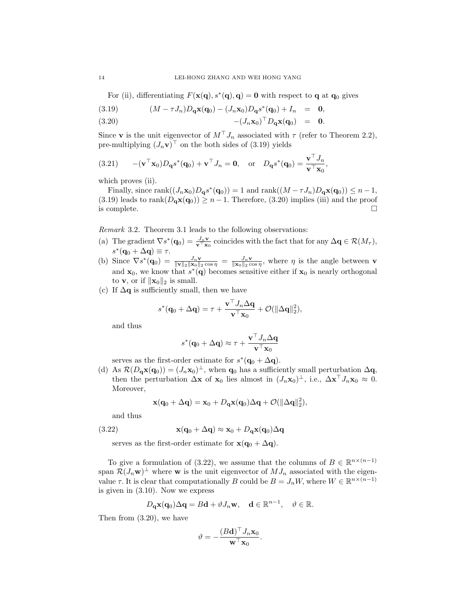For (ii), differentiating  $F(\mathbf{x(q)}, s^*(q), q) = 0$  with respect to **q** at **q**<sub>0</sub> gives

(3.19) 
$$
(M - \tau J_n)D_q \mathbf{x}(\mathbf{q}_0) - (J_n \mathbf{x}_0)D_q s^*(\mathbf{q}_0) + I_n = \mathbf{0},
$$

$$
(3.20) \qquad \qquad -(J_n\mathbf{x}_0)^\top D_\mathbf{q}\mathbf{x}(\mathbf{q}_0) \quad = \quad \mathbf{0}.
$$

Since **v** is the unit eigenvector of  $M<sup>T</sup>J<sub>n</sub>$  associated with  $\tau$  (refer to Theorem 2.2), pre-multiplying  $(J_n \mathbf{v})^{\top}$  on the both sides of  $(3.19)$  yields

(3.21) 
$$
-(\mathbf{v}^\top \mathbf{x}_0)D_{\mathbf{q}}s^*(\mathbf{q}_0) + \mathbf{v}^\top J_n = \mathbf{0}, \text{ or } D_{\mathbf{q}}s^*(\mathbf{q}_0) = \frac{\mathbf{v}^\top J_n}{\mathbf{v}^\top \mathbf{x}_0},
$$

which proves (ii).

Finally, since  $\text{rank}((J_n\mathbf{x}_0)D_q s^*(\mathbf{q}_0)) = 1$  and  $\text{rank}((M - \tau J_n)D_q \mathbf{x}(\mathbf{q}_0)) \leq n - 1$ , (3.19) leads to rank $(D_q\mathbf{x}(q_0)) \geq n-1$ . Therefore, (3.20) implies (iii) and the proof is complete.  $\Box$ 

Remark 3.2. Theorem 3.1 leads to the following observations:

- (a) The gradient  $\nabla s^*(\mathbf{q}_0) = \frac{J_n \mathbf{v}}{\mathbf{v}^\top \mathbf{x}_0}$  coincides with the fact that for any  $\Delta \mathbf{q} \in \mathcal{R}(M_\tau)$ ,  $s^*(\mathbf{q}_0 + \Delta \mathbf{q}) \equiv \tau.$
- (b) Since  $\nabla s^*(\mathbf{q}_0) = \frac{J_n \mathbf{v}}{\|\mathbf{v}\|_2 \|\mathbf{x}_0\|_2 \cos \eta} = \frac{J_n \mathbf{v}}{\|\mathbf{x}_0\|_2 \cos \eta}$ , where  $\eta$  is the angle between **v** and  $\mathbf{x}_0$ , we know that  $s^*(\mathbf{q})$  becomes sensitive either if  $\mathbf{x}_0$  is nearly orthogonal to **v**, or if  $\|\mathbf{x}_0\|_2$  is small.
- (c) If  $\Delta q$  is sufficiently small, then we have

$$
s^*(\mathbf{q}_0 + \Delta \mathbf{q}) = \tau + \frac{\mathbf{v}^\top J_n \Delta \mathbf{q}}{\mathbf{v}^\top \mathbf{x}_0} + \mathcal{O}(\|\Delta \mathbf{q}\|_2^2),
$$

and thus

$$
s^*(\mathbf{q}_0 + \Delta \mathbf{q}) \approx \tau + \frac{\mathbf{v}^\top J_n \Delta \mathbf{q}}{\mathbf{v}^\top \mathbf{x}_0}
$$

serves as the first-order estimate for  $s^*(\mathbf{q}_0 + \Delta \mathbf{q})$ .

(d) As  $\mathcal{R}(D_{\mathbf{q}}\mathbf{x}(\mathbf{q}_0)) = (J_n\mathbf{x}_0)^\perp$ , when  $\mathbf{q}_0$  has a sufficiently small perturbation  $\Delta \mathbf{q}$ , then the perturbation  $\Delta \mathbf{x}$  of  $\mathbf{x}_0$  lies almost in  $(J_n \mathbf{x}_0)^{\perp}$ , i.e.,  $\Delta \mathbf{x}^{\top} J_n \mathbf{x}_0 \approx 0$ . Moreover,

$$
\mathbf{x}(\mathbf{q}_0 + \Delta \mathbf{q}) = \mathbf{x}_0 + D_{\mathbf{q}} \mathbf{x}(\mathbf{q}_0) \Delta \mathbf{q} + \mathcal{O}(\|\Delta \mathbf{q}\|_2^2),
$$

and thus

(3.22) 
$$
\mathbf{x}(\mathbf{q}_0 + \Delta \mathbf{q}) \approx \mathbf{x}_0 + D_{\mathbf{q}} \mathbf{x}(\mathbf{q}_0) \Delta \mathbf{q}
$$

serves as the first-order estimate for  $\mathbf{x}(\mathbf{q}_0 + \Delta \mathbf{q})$ .

To give a formulation of (3.22), we assume that the columns of  $B \in \mathbb{R}^{n \times (n-1)}$ span  $\mathcal{R}(J_n \mathbf{w})^{\perp}$  where **w** is the unit eigenvector of  $MJ_n$  associated with the eigenvalue  $\tau$ . It is clear that computationally B could be  $B = J_n W$ , where  $W \in \mathbb{R}^{n \times (n-1)}$ is given in (3.10). Now we express

$$
D_{\mathbf{q}}\mathbf{x}(\mathbf{q}_0)\Delta \mathbf{q} = B\mathbf{d} + \vartheta J_n \mathbf{w}, \quad \mathbf{d} \in \mathbb{R}^{n-1}, \quad \vartheta \in \mathbb{R}.
$$

Then from (3.20), we have

$$
\vartheta = -\frac{(B\mathbf{d})^\top J_n \mathbf{x}_0}{\mathbf{w}^\top \mathbf{x}_0}.
$$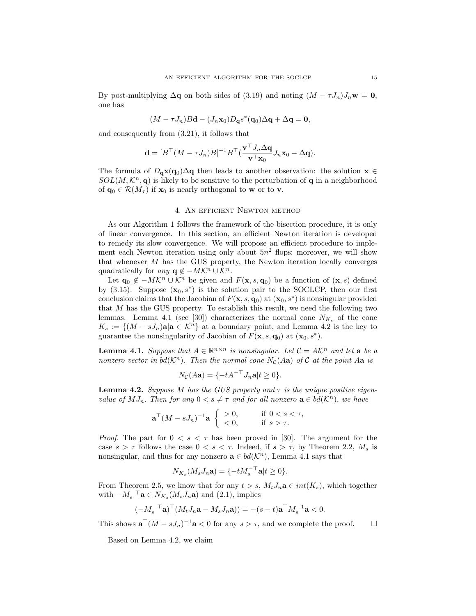By post-multiplying  $\Delta q$  on both sides of (3.19) and noting  $(M - \tau J_n)J_n\mathbf{w} = \mathbf{0}$ , one has

$$
(M - \tau J_n)B\mathbf{d} - (J_n \mathbf{x}_0)D_\mathbf{q} s^*(\mathbf{q}_0)\Delta \mathbf{q} + \Delta \mathbf{q} = \mathbf{0},
$$

and consequently from (3.21), it follows that

$$
\mathbf{d} = [B^\top (M - \tau J_n) B]^{-1} B^\top (\frac{\mathbf{v}^\top J_n \Delta \mathbf{q}}{\mathbf{v}^\top \mathbf{x}_0} J_n \mathbf{x}_0 - \Delta \mathbf{q}).
$$

The formula of  $D_q\mathbf{x}(q_0)\Delta q$  then leads to another observation: the solution  $\mathbf{x} \in \mathbb{R}$  $SOL(M, \mathcal{K}^n, \mathbf{q})$  is likely to be sensitive to the perturbation of **q** in a neighborhood of  $\mathbf{q}_0 \in \mathcal{R}(M_\tau)$  if  $\mathbf{x}_0$  is nearly orthogonal to **w** or to **v**.

### 4. An efficient Newton method

As our Algorithm 1 follows the framework of the bisection procedure, it is only of linear convergence. In this section, an efficient Newton iteration is developed to remedy its slow convergence. We will propose an efficient procedure to implement each Newton iteration using only about  $5n^2$  flops; moreover, we will show that whenever  $M$  has the GUS property, the Newton iteration locally converges quadratically for any  $\mathbf{q} \notin -MK^n \cup \mathcal{K}^n$ .

Let  $\mathbf{q}_0 \notin -MK^n \cup \mathcal{K}^n$  be given and  $F(\mathbf{x}, s, \mathbf{q}_0)$  be a function of  $(\mathbf{x}, s)$  defined by  $(3.15)$ . Suppose  $(\mathbf{x}_0, s^*)$  is the solution pair to the SOCLCP, then our first conclusion claims that the Jacobian of  $F(\mathbf{x}, s, \mathbf{q}_0)$  at  $(\mathbf{x}_0, s^*)$  is nonsingular provided that M has the GUS property. To establish this result, we need the following two lemmas. Lemma 4.1 (see [30]) characterizes the normal cone  $N_{K_s}$  of the cone  $K_s := \{(M - sJ_n)\mathbf{a} | \mathbf{a} \in \mathcal{K}^n\}$  at a boundary point, and Lemma 4.2 is the key to guarantee the nonsingularity of Jacobian of  $F(\mathbf{x}, s, \mathbf{q}_0)$  at  $(\mathbf{x}_0, s^*)$ .

**Lemma 4.1.** Suppose that  $A \in \mathbb{R}^{n \times n}$  is nonsingular. Let  $C = AK^n$  and let **a** be a nonzero vector in  $bd(\mathcal{K}^n)$ . Then the normal cone  $N_c(Aa)$  of C at the point Aa is

$$
N_{\mathcal{C}}(A\mathbf{a}) = \{-tA^{-\top}J_n\mathbf{a}|t \ge 0\}.
$$

**Lemma 4.2.** Suppose M has the GUS property and  $\tau$  is the unique positive eigenvalue of  $MJ_n$ . Then for any  $0 < s \neq \tau$  and for all nonzero  $\mathbf{a} \in bd(\mathcal{K}^n)$ , we have

$$
\mathbf{a}^\top (M - s J_n)^{-1} \mathbf{a} \begin{cases} > 0, \\ < 0, \end{cases} \quad \text{if } 0 < s < \tau,
$$

*Proof.* The part for  $0 < s < \tau$  has been proved in [30]. The argument for the case  $s > \tau$  follows the case  $0 < s < \tau$ . Indeed, if  $s > \tau$ , by Theorem 2.2,  $M_s$  is nonsingular, and thus for any nonzero  $\mathbf{a} \in bd(\mathcal{K}^n)$ , Lemma 4.1 says that

$$
N_{K_s}(M_s J_n \mathbf{a}) = \{-tM_s^{-\top} \mathbf{a} | t \ge 0\}.
$$

From Theorem 2.5, we know that for any  $t > s$ ,  $M_tJ_n$ **a**  $\in int(K_s)$ , which together with  $-M_s^{-\top}$ **a**  $\in N_{K_s}(M_sJ_n\mathbf{a})$  and (2.1), implies

$$
(-M_s^{-\top} \mathbf{a})^{\top} (M_t J_n \mathbf{a} - M_s J_n \mathbf{a})) = -(s-t) \mathbf{a}^{\top} M_s^{-1} \mathbf{a} < 0.
$$

This shows  $\mathbf{a}^{\top} (M - sJ_n)^{-1} \mathbf{a} < 0$  for any  $s > \tau$ , and we complete the proof.  $\square$ 

Based on Lemma 4.2, we claim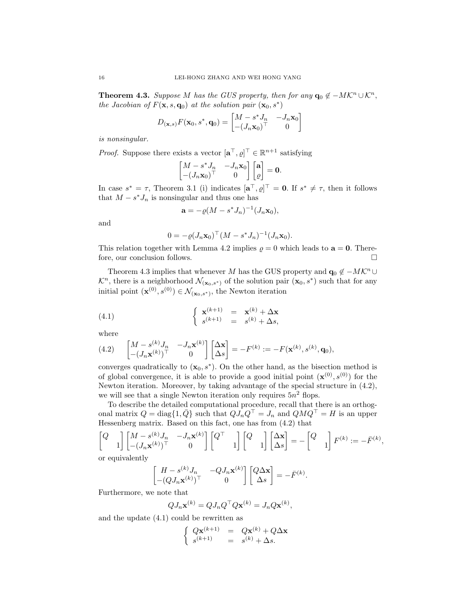**Theorem 4.3.** Suppose M has the GUS property, then for any  $\mathbf{q}_0 \notin -MK^n \cup \mathcal{K}^n$ , the Jacobian of  $F(\mathbf{x}, s, \mathbf{q}_0)$  at the solution pair  $(\mathbf{x}_0, s^*)$ 

$$
D_{(\mathbf{x},s)}F(\mathbf{x}_0,s^*,\mathbf{q}_0) = \begin{bmatrix} M - s^*J_n & -J_n\mathbf{x}_0 \\ -(J_n\mathbf{x}_0)^\top & 0 \end{bmatrix}
$$

is nonsingular.

*Proof.* Suppose there exists a vector  $[\mathbf{a}^\top, \varrho]^\top \in \mathbb{R}^{n+1}$  satisfying

$$
\begin{bmatrix} M - s^* J_n & -J_n \mathbf{x}_0 \\ -(J_n \mathbf{x}_0)^\top & 0 \end{bmatrix} \begin{bmatrix} \mathbf{a} \\ \varrho \end{bmatrix} = \mathbf{0}.
$$

In case  $s^* = \tau$ , Theorem 3.1 (i) indicates  $[\mathbf{a}^\top, \varrho]^\top = \mathbf{0}$ . If  $s^* \neq \tau$ , then it follows that  $M - s^* J_n$  is nonsingular and thus one has

$$
\mathbf{a} = -\varrho (M - s^* J_n)^{-1} (J_n \mathbf{x}_0),
$$

and

$$
0 = -\varrho (J_n \mathbf{x}_0)^{\top} (M - s^* J_n)^{-1} (J_n \mathbf{x}_0).
$$

This relation together with Lemma 4.2 implies  $\rho = 0$  which leads to  $\mathbf{a} = \mathbf{0}$ . Therefore, our conclusion follows.  $\hfill \square$ 

Theorem 4.3 implies that whenever M has the GUS property and  $\mathbf{q}_0 \notin -MK^n \cup$  $\mathcal{K}^n$ , there is a neighborhood  $\mathcal{N}_{(\mathbf{x}_0,s^*)}$  of the solution pair  $(\mathbf{x}_0,s^*)$  such that for any initial point  $(\mathbf{x}^{(0)}, s^{(0)}) \in \mathcal{N}_{(\mathbf{x}_0, s^*)}$ , the Newton iteration

(4.1) 
$$
\begin{cases} \mathbf{x}^{(k+1)} = \mathbf{x}^{(k)} + \Delta \mathbf{x} \\ s^{(k+1)} = s^{(k)} + \Delta s, \end{cases}
$$

where

(4.2) 
$$
\begin{bmatrix} M - s^{(k)} J_n & -J_n \mathbf{x}^{(k)} \ - (J_n \mathbf{x}^{(k)})^\top & 0 \end{bmatrix} \begin{bmatrix} \Delta \mathbf{x} \\ \Delta s \end{bmatrix} = -F^{(k)} := -F(\mathbf{x}^{(k)}, s^{(k)}, \mathbf{q}_0),
$$

converges quadratically to  $(x_0, s^*)$ . On the other hand, as the bisection method is of global convergence, it is able to provide a good initial point  $(\mathbf{x}^{(0)}, s^{(0)})$  for the Newton iteration. Moreover, by taking advantage of the special structure in (4.2), we will see that a single Newton iteration only requires  $5n^2$  flops.

To describe the detailed computational procedure, recall that there is an orthogonal matrix  $Q = \text{diag}\{1, \bar{Q}\}\$  such that  $QJ_nQ^{\top} = J_n$  and  $QMQ^{\top} = H$  is an upper Hessenberg matrix. Based on this fact, one has from (4.2) that

$$
\begin{bmatrix} Q \\ 1 \end{bmatrix} \begin{bmatrix} M - s^{(k)} J_n & -J_n \mathbf{x}^{(k)} \end{bmatrix} \begin{bmatrix} Q^{\top} \\ 1 \end{bmatrix} \begin{bmatrix} Q \\ 1 \end{bmatrix} \begin{bmatrix} \Delta \mathbf{x} \\ \Delta s \end{bmatrix} = - \begin{bmatrix} Q \\ 1 \end{bmatrix} F^{(k)} := -\bar{F}^{(k)},
$$

or equivalently

$$
\begin{bmatrix} H - s^{(k)} J_n & -Q J_n \mathbf{x}^{(k)} \end{bmatrix} \begin{bmatrix} Q \Delta \mathbf{x} \\ \Delta s \end{bmatrix} = -\bar{F}^{(k)}.
$$

Furthermore, we note that

$$
QJ_n\mathbf{x}^{(k)} = QJ_nQ^\top Q\mathbf{x}^{(k)} = J_nQ\mathbf{x}^{(k)},
$$

and the update (4.1) could be rewritten as

$$
\begin{cases}\nQ\mathbf{x}^{(k+1)} = Q\mathbf{x}^{(k)} + Q\Delta\mathbf{x} \\
s^{(k+1)} = s^{(k)} + \Delta s.\n\end{cases}
$$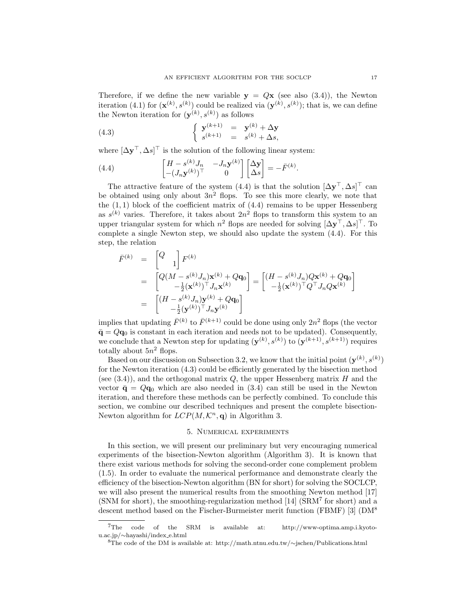Therefore, if we define the new variable  $y = Qx$  (see also (3.4)), the Newton iteration (4.1) for  $(\mathbf{x}^{(k)}, s^{(k)})$  could be realized via  $(\mathbf{y}^{(k)}, s^{(k)})$ ; that is, we can define the Newton iteration for  $(\mathbf{y}^{(k)}, s^{(k)})$  as follows

(4.3) 
$$
\begin{cases} \mathbf{y}^{(k+1)} = \mathbf{y}^{(k)} + \Delta \mathbf{y} \\ s^{(k+1)} = s^{(k)} + \Delta s, \end{cases}
$$

where  $[\Delta \mathbf{y}^\top, \Delta s]^\top$  is the solution of the following linear system:

(4.4) 
$$
\begin{bmatrix} H - s^{(k)} J_n & -J_n \mathbf{y}^{(k)} \\ -(J_n \mathbf{y}^{(k)})^\top & 0 \end{bmatrix} \begin{bmatrix} \Delta \mathbf{y} \\ \Delta s \end{bmatrix} = -\bar{F}^{(k)}.
$$

The attractive feature of the system (4.4) is that the solution  $[\Delta \mathbf{y}^\top, \Delta s]^\top$  can be obtained using only about  $3n^2$  flops. To see this more clearly, we note that the  $(1, 1)$  block of the coefficient matrix of  $(4.4)$  remains to be upper Hessenberg as  $s^{(k)}$  varies. Therefore, it takes about  $2n^2$  flops to transform this system to an upper triangular system for which  $n^2$  flops are needed for solving  $[\Delta y^{\top}, \Delta s]^{\top}$ . To complete a single Newton step, we should also update the system (4.4). For this step, the relation

$$
\begin{array}{rcl}\n\bar{F}^{(k)} & = & \begin{bmatrix} Q \\ & 1 \end{bmatrix} F^{(k)} \\
& = & \begin{bmatrix} Q(M - s^{(k)}J_n)\mathbf{x}^{(k)} + Q\mathbf{q}_0 \\ & -\frac{1}{2}(\mathbf{x}^{(k)})^\top J_n \mathbf{x}^{(k)} \end{bmatrix} = \begin{bmatrix} (H - s^{(k)}J_n)Q\mathbf{x}^{(k)} + Q\mathbf{q}_0 \\ & -\frac{1}{2}(\mathbf{x}^{(k)})^\top Q^\top J_n Q\mathbf{x}^{(k)} \end{bmatrix} \\
& = & \begin{bmatrix} (H - s^{(k)}J_n)\mathbf{y}^{(k)} + Q\mathbf{q}_0 \\ & -\frac{1}{2}(\mathbf{y}^{(k)})^\top J_n \mathbf{y}^{(k)} \end{bmatrix}\n\end{array}
$$

implies that updating  $\bar{F}^{(k)}$  to  $\bar{F}^{(k+1)}$  could be done using only  $2n^2$  flops (the vector  $\bar{\mathbf{q}} = Q\mathbf{q}_0$  is constant in each iteration and needs not to be updated). Consequently, we conclude that a Newton step for updating  $(\mathbf{y}^{(k)}, s^{(k)})$  to  $(\mathbf{y}^{(k+1)}, s^{(k+1)})$  requires totally about  $5n^2$  flops.

Based on our discussion on Subsection 3.2, we know that the initial point  $(\mathbf{y}^{(k)}, s^{(k)})$ for the Newton iteration (4.3) could be efficiently generated by the bisection method (see  $(3.4)$ ), and the orthogonal matrix  $Q$ , the upper Hessenberg matrix  $H$  and the vector  $\bar{q} = Qq_0$  which are also needed in (3.4) can still be used in the Newton iteration, and therefore these methods can be perfectly combined. To conclude this section, we combine our described techniques and present the complete bisection-Newton algorithm for  $LCP(M, \mathcal{K}^n, \mathbf{q})$  in Algorithm 3.

### 5. Numerical experiments

In this section, we will present our preliminary but very encouraging numerical experiments of the bisection-Newton algorithm (Algorithm 3). It is known that there exist various methods for solving the second-order cone complement problem (1.5). In order to evaluate the numerical performance and demonstrate clearly the efficiency of the bisection-Newton algorithm (BN for short) for solving the SOCLCP, we will also present the numerical results from the smoothing Newton method [17] (SNM for short), the smoothing-regularization method [14] (SRM<sup>7</sup> for short) and a descent method based on the Fischer-Burmeister merit function (FBMF) [3] (DM<sup>8</sup>

<sup>7</sup>The code of the SRM is available at: http://www-optima.amp.i.kyotou.ac.jp/∼hayashi/index e.html

<sup>8</sup>The code of the DM is available at: http://math.ntnu.edu.tw/∼jschen/Publications.html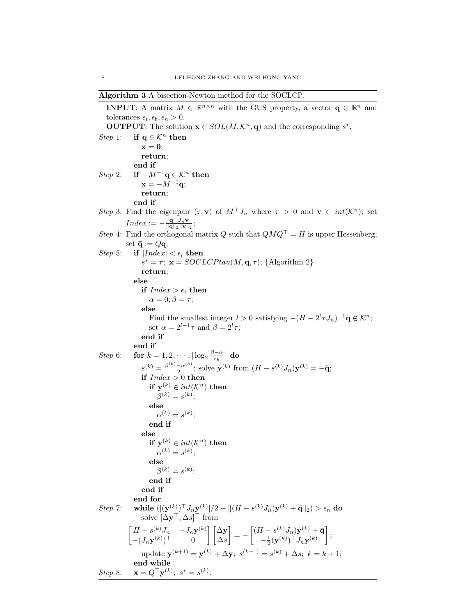Algorithm 3 A bisection-Newton method for the SOCLCP.

**INPUT:** A matrix  $M \in \mathbb{R}^{n \times n}$  with the GUS property, a vector  $\mathbf{q} \in \mathbb{R}^n$  and tolerances  $\epsilon_i, \epsilon_b, \epsilon_n > 0$ . **OUTPUT:** The solution  $\mathbf{x} \in SOL(M,\mathcal{K}^n,\mathbf{q})$  and the corresponding  $s^*$ . *Step* 1: if  $q \in \mathcal{K}^n$  then  $x = 0$ ; return; end if Step 2: if  $-M^{-1}\mathbf{q} \in \mathcal{K}^n$  then  $\mathbf{x} = -M^{-1}\mathbf{q};$ return; end if Step 3: Find the eigenpair  $(\tau, \mathbf{v})$  of  $M^{\top} J_n$  where  $\tau > 0$  and  $\mathbf{v} \in int(\mathcal{K}^n)$ ; set  $Index := -\frac{\mathbf{q}^\top J_n \mathbf{v}}{\|\mathbf{q}\|_2 \|\mathbf{v}\|_2};$ Step 4: Find the orthogonal matrix Q such that  $QMQ^{\top} = H$  is upper Hessenberg; set  $\bar{\mathbf{q}} := Q\mathbf{q}$ ; *Step* 5: if  $|Index| < \epsilon_i$  then  $s^* = \tau$ ;  $\mathbf{x} = SOCLCPtau(M, \mathbf{q}, \tau)$ ; {Algorithm 2} return; else if  $Index > \epsilon_i$  then  $\alpha = 0; \beta = \tau;$ else Find the smallest integer  $l > 0$  satisfying  $-(H - 2^l \tau J_n)^{-1} \bar{q} \notin \mathcal{K}^n$ ; set  $\alpha = 2^{l-1}\tau$  and  $\beta = 2^l\tau$ ; end if end if *Step* 6: **for**  $k = 1, 2, \cdots, \lceil \log_2 \frac{\beta - \alpha}{\epsilon_b} \rceil$  **do**  $s^{(k)} = \frac{\beta^{(k)} - \alpha^{(k)}}{2}$  $\frac{(-\alpha^{(k)})}{2}$ ; solve  $\mathbf{y}^{(k)}$  from  $(H - s^{(k)}J_n)\mathbf{y}^{(k)} = -\bar{\mathbf{q}}$ ; if  $\mathit{Index} > 0$  then if  $y^{(k)} \in int(K^n)$  then  $\beta^{(k)} = s^{(k)}$ ; else  $\alpha^{(k)} = s^{(k)}$ ; end if else if  $y^{(k)} \in int(K^n)$  then  $\alpha^{(k)} = s^{(k)}$ ; else  $\beta^{(k)} = s^{(k)}$ ; end if end if end for Step 7: while  $(\vert (\mathbf{y}^{(k)})^\top J_n \mathbf{y}^{(k)} \vert / 2 + \Vert (H - s^{(k)} J_n) \mathbf{y}^{(k)} + \bar{\mathbf{q}} \Vert_2) > \epsilon_n$  do solve  $[\Delta \mathbf{y}^\top, \Delta s]^\top$  from  $\begin{bmatrix} H - s^{(k)} J_n & -J_n \mathbf{y}^{(k)} \end{bmatrix}$  $-(J_n \mathbf{y}^{(k)})^{\top}$  0 ∆y  $\Delta s$  $= -\left[ (H - s^{(k)} J_n) \mathbf{y}^{(k)} + \mathbf{\bar{q}} \right]$  $-\frac{1}{2}(\mathbf{y}^{(k)})^\top J_n \mathbf{y}^{(k)}$  ; update  $\mathbf{y}^{(k+1)} = \mathbf{y}^{(k)} + \Delta \mathbf{y}; s^{(k+1)} = s^{(k)} + \Delta s; k = k + 1;$ end while Step 8:  $\mathbf{x} = Q^{\top} \mathbf{y}^{(k)}; s^* = s^{(k)}.$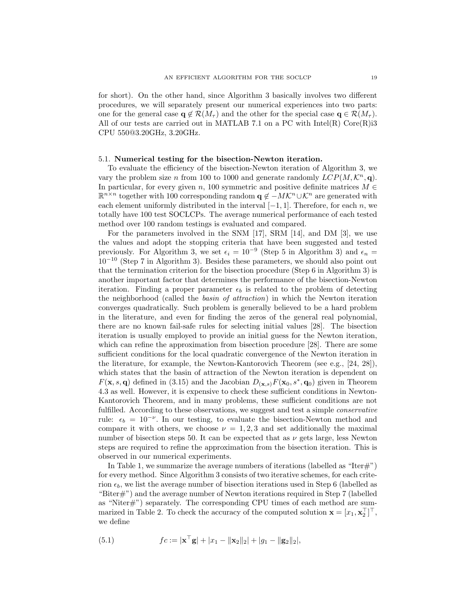for short). On the other hand, since Algorithm 3 basically involves two different procedures, we will separately present our numerical experiences into two parts: one for the general case  $\mathbf{q} \notin \mathcal{R}(M_\tau)$  and the other for the special case  $\mathbf{q} \in \mathcal{R}(M_\tau)$ . All of our tests are carried out in MATLAB 7.1 on a PC with Intel(R) Core(R)i3 CPU 550@3.20GHz, 3.20GHz.

# 5.1. Numerical testing for the bisection-Newton iteration.

To evaluate the efficiency of the bisection-Newton iteration of Algorithm 3, we vary the problem size n from 100 to 1000 and generate randomly  $LCP(M, \mathcal{K}^n, \mathbf{q})$ . In particular, for every given n, 100 symmetric and positive definite matrices  $M \in$  $\mathbb{R}^{n \times n}$  together with 100 corresponding random  $\mathbf{q} \notin -MK^n \cup \mathcal{K}^n$  are generated with each element uniformly distributed in the interval  $[-1, 1]$ . Therefore, for each n, we totally have 100 test SOCLCPs. The average numerical performance of each tested method over 100 random testings is evaluated and compared.

For the parameters involved in the SNM [17], SRM [14], and DM [3], we use the values and adopt the stopping criteria that have been suggested and tested previously. For Algorithm 3, we set  $\epsilon_i = 10^{-9}$  (Step 5 in Algorithm 3) and  $\epsilon_n =$  $10^{-10}$  (Step 7 in Algorithm 3). Besides these parameters, we should also point out that the termination criterion for the bisection procedure (Step 6 in Algorithm 3) is another important factor that determines the performance of the bisection-Newton iteration. Finding a proper parameter  $\epsilon_b$  is related to the problem of detecting the neighborhood (called the basin of attraction) in which the Newton iteration converges quadratically. Such problem is generally believed to be a hard problem in the literature, and even for finding the zeros of the general real polynomial, there are no known fail-safe rules for selecting initial values [28]. The bisection iteration is usually employed to provide an initial guess for the Newton iteration, which can refine the approximation from bisection procedure [28]. There are some sufficient conditions for the local quadratic convergence of the Newton iteration in the literature, for example, the Newton-Kantorovich Theorem (see e.g., [24, 28]), which states that the basin of attraction of the Newton iteration is dependent on  $F(\mathbf{x}, s, \mathbf{q})$  defined in (3.15) and the Jacobian  $D_{(\mathbf{x}, s)}F(\mathbf{x}_0, s^*, \mathbf{q}_0)$  given in Theorem 4.3 as well. However, it is expensive to check these sufficient conditions in Newton-Kantorovich Theorem, and in many problems, these sufficient conditions are not fulfilled. According to these observations, we suggest and test a simple conservative rule:  $\epsilon_b = 10^{-\nu}$ . In our testing, to evaluate the bisection-Newton method and compare it with others, we choose  $\nu = 1, 2, 3$  and set additionally the maximal number of bisection steps 50. It can be expected that as  $\nu$  gets large, less Newton steps are required to refine the approximation from the bisection iteration. This is observed in our numerical experiments.

In Table 1, we summarize the average numbers of iterations (labelled as "Iter $\#$ ") for every method. Since Algorithm 3 consists of two iterative schemes, for each criterion  $\epsilon_b$ , we list the average number of bisection iterations used in Step 6 (labelled as "Biter#") and the average number of Newton iterations required in Step 7 (labelled as "Niter#") separately. The corresponding CPU times of each method are summarized in Table 2. To check the accuracy of the computed solution  $\mathbf{x} = [x_1, \mathbf{x}_2^{\top}]^{\top}$ , we define

(5.1) 
$$
fc := |\mathbf{x}^\top \mathbf{g}| + |x_1 - ||\mathbf{x}_2||_2| + |g_1 - ||\mathbf{g}_2||_2|,
$$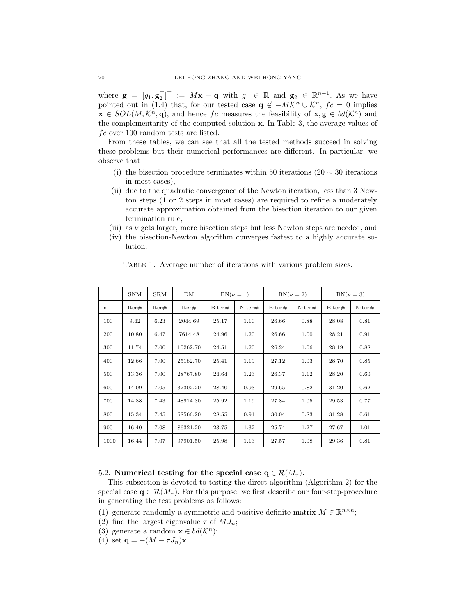where  $\mathbf{g} = [g_1, \mathbf{g}_2^\top]^\top := M\mathbf{x} + \mathbf{q}$  with  $g_1 \in \mathbb{R}$  and  $\mathbf{g}_2 \in \mathbb{R}^{n-1}$ . As we have pointed out in (1.4) that, for our tested case  $\mathbf{q} \notin -M\mathcal{K}^n \cup \mathcal{K}^n$ ,  $fc = 0$  implies  $\mathbf{x} \in SOL(M,\mathcal{K}^n,\mathbf{q})$ , and hence fc measures the feasibility of  $\mathbf{x}, \mathbf{g} \in bd(\mathcal{K}^n)$  and the complementarity of the computed solution x. In Table 3, the average values of  $fc$  over 100 random tests are listed.

From these tables, we can see that all the tested methods succeed in solving these problems but their numerical performances are different. In particular, we observe that

- (i) the bisection procedure terminates within 50 iterations (20  $\sim$  30 iterations in most cases),
- (ii) due to the quadratic convergence of the Newton iteration, less than 3 Newton steps (1 or 2 steps in most cases) are required to refine a moderately accurate approximation obtained from the bisection iteration to our given termination rule,
- (iii) as  $\nu$  gets larger, more bisection steps but less Newton steps are needed, and
- (iv) the bisection-Newton algorithm converges fastest to a highly accurate solution.

|             | <b>SNM</b> | SRM   | DM       | $BN(\nu=1)$ |           | $BN(\nu=2)$ |           | $BN(\nu=3)$ |           |
|-------------|------------|-------|----------|-------------|-----------|-------------|-----------|-------------|-----------|
| $\mathbf n$ | Iter#      | Iter# | Iter#    | Biter#      | Niter $#$ | Biter#      | Niter $#$ | Biter#      | Niter $#$ |
| 100         | 9.42       | 6.23  | 2044.69  | 25.17       | 1.10      | 26.66       | 0.88      | 28.08       | 0.81      |
| 200         | 10.80      | 6.47  | 7614.48  | 24.96       | 1.20      | 26.66       | 1.00      | 28.21       | 0.91      |
| 300         | 11.74      | 7.00  | 15262.70 | 24.51       | 1.20      | 26.24       | 1.06      | 28.19       | 0.88      |
| 400         | 12.66      | 7.00  | 25182.70 | 25.41       | 1.19      | 27.12       | 1.03      | 28.70       | 0.85      |
| 500         | 13.36      | 7.00  | 28767.80 | 24.64       | 1.23      | 26.37       | 1.12      | 28.20       | 0.60      |
| 600         | 14.09      | 7.05  | 32302.20 | 28.40       | 0.93      | 29.65       | 0.82      | 31.20       | 0.62      |
| 700         | 14.88      | 7.43  | 48914.30 | 25.92       | 1.19      | 27.84       | 1.05      | 29.53       | 0.77      |
| 800         | 15.34      | 7.45  | 58566.20 | 28.55       | 0.91      | 30.04       | 0.83      | 31.28       | 0.61      |
| 900         | 16.40      | 7.08  | 86321.20 | 23.75       | 1.32      | 25.74       | 1.27      | 27.67       | 1.01      |
| 1000        | 16.44      | 7.07  | 97901.50 | 25.98       | 1.13      | 27.57       | 1.08      | 29.36       | 0.81      |

Table 1. Average number of iterations with various problem sizes.

# 5.2. Numerical testing for the special case  $q \in \mathcal{R}(M_\tau)$ .

This subsection is devoted to testing the direct algorithm (Algorithm 2) for the special case  $q \in \mathcal{R}(M_{\tau})$ . For this purpose, we first describe our four-step-procedure in generating the test problems as follows:

- (1) generate randomly a symmetric and positive definite matrix  $M \in \mathbb{R}^{n \times n}$ ;
- (2) find the largest eigenvalue  $\tau$  of  $MJ_n$ ;
- (3) generate a random  $\mathbf{x} \in bd(\mathcal{K}^n)$ ;
- (4) set  $\mathbf{q} = -(M \tau J_n)\mathbf{x}$ .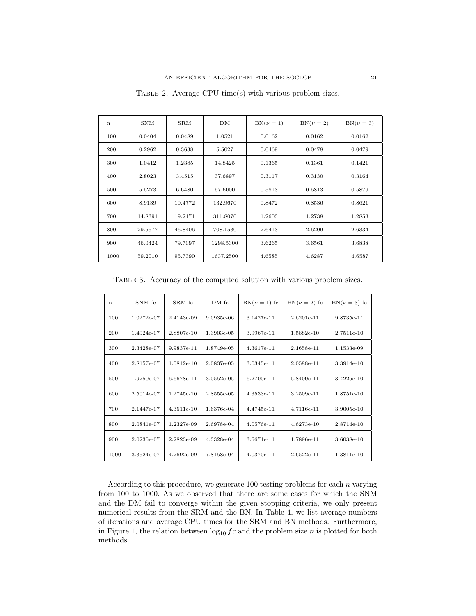| $\mathbf n$ | <b>SNM</b> | <b>SRM</b> | DM        | $BN(\nu=1)$ | $BN(\nu=2)$ | $BN(\nu=3)$ |
|-------------|------------|------------|-----------|-------------|-------------|-------------|
| 100         | 0.0404     | 0.0489     | 1.0521    | 0.0162      | 0.0162      | 0.0162      |
| 200         | 0.2962     | 0.3638     | 5.5027    | 0.0469      | 0.0478      | 0.0479      |
| 300         | 1.0412     | 1.2385     | 14.8425   | 0.1365      | 0.1361      | 0.1421      |
| 400         | 2.8023     | 3.4515     | 37.6897   | 0.3117      | 0.3130      | 0.3164      |
| 500         | 5.5273     | 6.6480     | 57.6000   | 0.5813      | 0.5813      | 0.5879      |
| 600         | 8.9139     | 10.4772    | 132.9670  | 0.8472      | 0.8536      | 0.8621      |
| 700         | 14.8391    | 19.2171    | 311.8070  | 1.2603      | 1.2738      | 1.2853      |
| 800         | 29.5577    | 46.8406    | 708.1530  | 2.6413      | 2.6209      | 2.6334      |
| 900         | 46.0424    | 79.7097    | 1298.5300 | 3.6265      | 3.6561      | 3.6838      |
| 1000        | 59.2010    | 95.7390    | 1637.2500 | 4.6585      | 4.6287      | 4.6587      |

TABLE 2. Average CPU time(s) with various problem sizes.

Table 3. Accuracy of the computed solution with various problem sizes.

| $\mathbf n$ | SNM fc     | SRM fc       | DM fc      | $BN(\nu=1)$ fc | $BN(\nu=2)$ fc | $BN(\nu=3)$ fc |
|-------------|------------|--------------|------------|----------------|----------------|----------------|
| 100         | 1.0272e-07 | 2.4143e-09   | 9.0935e-06 | 3.1427e-11     | 2.6201e-11     | 9.8735e-11     |
| 200         | 1.4924e-07 | 2.8807e-10   | 1.3903e-05 | 3.9967e-11     | 1.5882e-10     | 2.7511e-10     |
| 300         | 2.3428e-07 | 9.9837e-11   | 1.8749e-05 | 4.3617e-11     | 2.1658e-11     | 1.1533e-09     |
| 400         | 2.8157e-07 | 1.5812e-10   | 2.0837e-05 | 3.0345e-11     | 2.0588e-11     | 3.3914e-10     |
| 500         | 1.9250e-07 | 6.6678e-11   | 3.0552e-05 | 6.2700e-11     | 5.8400e-11     | 3.4225e-10     |
| 600         | 2.5014e-07 | 1.2745e-10   | 2.8555e-05 | 4.3533e-11     | 3.2509e-11     | 1.8751e-10     |
| 700         | 2.1447e-07 | $4.3511e-10$ | 1.6376e-04 | 4.4745e-11     | 4.7116e-11     | 3.9005e-10     |
| 800         | 2.0841e-07 | 1.2327e-09   | 2.6978e-04 | 4.0576e-11     | $4.6273e-10$   | 2.8714e-10     |
| 900         | 2.0235e-07 | 2.2823e-09   | 4.3328e-04 | 3.5671e-11     | 1.7896e-11     | 3.6038e-10     |
| 1000        | 3.3524e-07 | 4.2692e-09   | 7.8158e-04 | 4.0370e-11     | $2.6522e-11$   | 1.3811e-10     |

According to this procedure, we generate testing problems for each n varying from 100 to 1000. As we observed that there are some cases for which the SNM and the DM fail to converge within the given stopping criteria, we only present numerical results from the SRM and the BN. In Table 4, we list average numbers of iterations and average CPU times for the SRM and BN methods. Furthermore, in Figure 1, the relation between  $\log_{10} f c$  and the problem size n is plotted for both methods.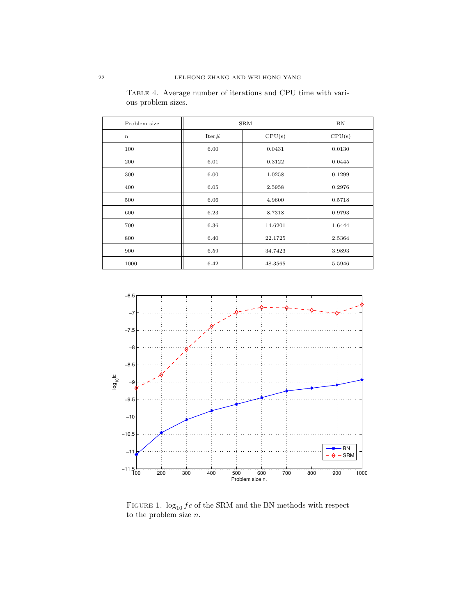| Problem size | <b>SRM</b> | BN      |        |
|--------------|------------|---------|--------|
| $\mathbf n$  | Iter#      | CPU(s)  | CPU(s) |
| 100          | 6.00       | 0.0431  | 0.0130 |
| 200          | 6.01       | 0.3122  | 0.0445 |
| 300          | 6.00       | 1.0258  | 0.1299 |
| 400          | 6.05       | 2.5958  | 0.2976 |
| 500          | 6.06       | 4.9600  | 0.5718 |
| 600          | 6.23       | 8.7318  | 0.9793 |
| 700          | 6.36       | 14.6201 | 1.6444 |
| 800          | 6.40       | 22.1725 | 2.5364 |
| 900          | 6.59       | 34.7423 | 3.9893 |
| 1000         | 6.42       | 48.3565 | 5.5946 |

Table 4. Average number of iterations and CPU time with various problem sizes.



FIGURE 1.  $log_{10} f c$  of the SRM and the BN methods with respect to the problem size  $n$ .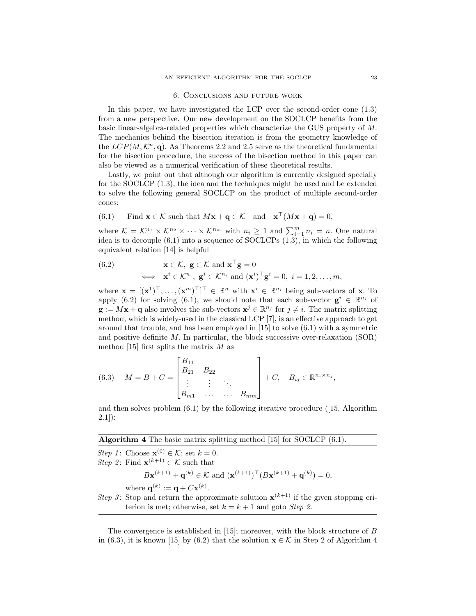#### 6. Conclusions and future work

In this paper, we have investigated the LCP over the second-order cone (1.3) from a new perspective. Our new development on the SOCLCP benefits from the basic linear-algebra-related properties which characterize the GUS property of M. The mechanics behind the bisection iteration is from the geometry knowledge of the  $LCP(M,\mathcal{K}^n,\mathbf{q})$ . As Theorems 2.2 and 2.5 serve as the theoretical fundamental for the bisection procedure, the success of the bisection method in this paper can also be viewed as a numerical verification of these theoretical results.

Lastly, we point out that although our algorithm is currently designed specially for the SOCLCP (1.3), the idea and the techniques might be used and be extended to solve the following general SOCLCP on the product of multiple second-order cones:

(6.1) Find 
$$
\mathbf{x} \in \mathcal{K}
$$
 such that  $M\mathbf{x} + \mathbf{q} \in \mathcal{K}$  and  $\mathbf{x}^\top (M\mathbf{x} + \mathbf{q}) = 0$ ,

where  $\mathcal{K} = \mathcal{K}^{n_1} \times \mathcal{K}^{n_2} \times \cdots \times \mathcal{K}^{n_m}$  with  $n_i \geq 1$  and  $\sum_{i=1}^{m} n_i = n$ . One natural idea is to decouple (6.1) into a sequence of SOCLCPs (1.3), in which the following equivalent relation [14] is helpful

(6.2) 
$$
\mathbf{x} \in \mathcal{K}, \ \mathbf{g} \in \mathcal{K} \text{ and } \mathbf{x}^{\top} \mathbf{g} = 0
$$

$$
\iff \ \mathbf{x}^i \in \mathcal{K}^{n_i}, \ \mathbf{g}^i \in \mathcal{K}^{n_i} \text{ and } (\mathbf{x}^i)^{\top} \mathbf{g}^i = 0, \ i = 1, 2, \dots, m,
$$

where  $\mathbf{x} = [(\mathbf{x}^1)^\top, \dots, (\mathbf{x}^m)^\top]^\top \in \mathbb{R}^n$  with  $\mathbf{x}^i \in \mathbb{R}^{n_i}$  being sub-vectors of **x**. To apply (6.2) for solving (6.1), we should note that each sub-vector  $g^i \in \mathbb{R}^{n_i}$  of  $\mathbf{g} := M\mathbf{x} + \mathbf{q}$  also involves the sub-vectors  $\mathbf{x}^j \in \mathbb{R}^{n_j}$  for  $j \neq i$ . The matrix splitting method, which is widely-used in the classical LCP [7], is an effective approach to get around that trouble, and has been employed in [15] to solve (6.1) with a symmetric and positive definite M. In particular, the block successive over-relaxation (SOR) method [15] first splits the matrix  $M$  as

(6.3) 
$$
M = B + C = \begin{bmatrix} B_{11} \\ B_{21} & B_{22} \\ \vdots & \vdots & \ddots \\ B_{m1} & \cdots & \cdots & B_{mm} \end{bmatrix} + C, B_{ij} \in \mathbb{R}^{n_i \times n_j},
$$

and then solves problem  $(6.1)$  by the following iterative procedure ([15, Algorithm])  $2.1$ ]):

# Algorithm 4 The basic matrix splitting method [15] for SOCLCP (6.1).

Step 1: Choose  $\mathbf{x}^{(0)} \in \mathcal{K}$ ; set  $k = 0$ . *Step 2*: Find  $\mathbf{x}^{(k+1)} \in \mathcal{K}$  such that  $B\mathbf{x}^{(k+1)} + \mathbf{q}^{(k)} \in \mathcal{K}$  and  $(\mathbf{x}^{(k+1)})^{\top} (B\mathbf{x}^{(k+1)} + \mathbf{q}^{(k)}) = 0,$ where  $\mathbf{q}^{(k)} := \mathbf{q} + C\mathbf{x}^{(k)}$ . Step 3: Stop and return the approximate solution  $\mathbf{x}^{(k+1)}$  if the given stopping criterion is met; otherwise, set  $k = k + 1$  and goto *Step 2*.

The convergence is established in  $[15]$ ; moreover, with the block structure of B in (6.3), it is known [15] by (6.2) that the solution  $\mathbf{x} \in \mathcal{K}$  in Step 2 of Algorithm 4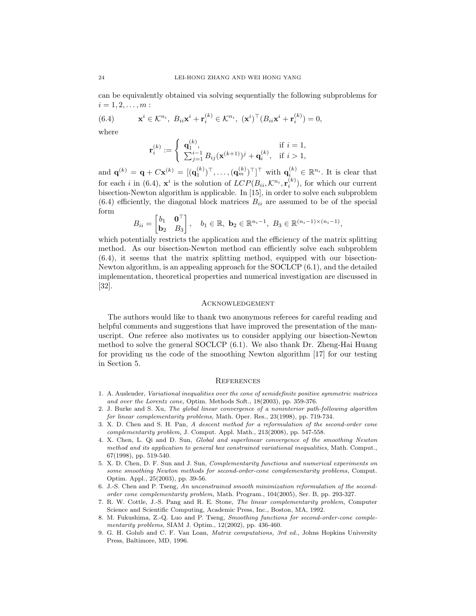can be equivalently obtained via solving sequentially the following subproblems for  $i = 1, 2, \ldots, m:$ 

(6.4) 
$$
\mathbf{x}^i \in \mathcal{K}^{n_i}, \ B_{ii}\mathbf{x}^i + \mathbf{r}_i^{(k)} \in \mathcal{K}^{n_i}, \ (\mathbf{x}^i)^\top (B_{ii}\mathbf{x}^i + \mathbf{r}_i^{(k)}) = 0,
$$

where

$$
\mathbf{r}_{i}^{(k)} := \begin{cases} \mathbf{q}_{1}^{(k)}, & \text{if } i = 1, \\ \sum_{j=1}^{i-1} B_{ij}(\mathbf{x}^{(k+1)})^{j} + \mathbf{q}_{i}^{(k)}, & \text{if } i > 1, \end{cases}
$$

and  $\mathbf{q}^{(k)} = \mathbf{q} + C\mathbf{x}^{(k)} = [(\mathbf{q}_1^{(k)})^\top, \dots, (\mathbf{q}_m^{(k)})^\top]^\top$  with  $\mathbf{q}_i^{(k)} \in \mathbb{R}^{n_i}$ . It is clear that for each *i* in (6.4),  $\mathbf{x}^i$  is the solution of  $LCP(B_{ii}, \mathcal{K}^{n_i}, \mathbf{r}_i^{(k)})$ , for which our current bisection-Newton algorithm is applicable. In [15], in order to solve each subproblem  $(6.4)$  efficiently, the diagonal block matrices  $B_{ii}$  are assumed to be of the special form

$$
B_{ii} = \begin{bmatrix} b_1 & \mathbf{0}^\top \\ \mathbf{b}_2 & B_3 \end{bmatrix}, \quad b_1 \in \mathbb{R}, \ \mathbf{b}_2 \in \mathbb{R}^{n_i - 1}, \ B_3 \in \mathbb{R}^{(n_i - 1) \times (n_i - 1)},
$$

which potentially restricts the application and the efficiency of the matrix splitting method. As our bisection-Newton method can efficiently solve each subproblem (6.4), it seems that the matrix splitting method, equipped with our bisection-Newton algorithm, is an appealing approach for the SOCLCP (6.1), and the detailed implementation, theoretical properties and numerical investigation are discussed in [32].

#### Acknowledgement

The authors would like to thank two anonymous referees for careful reading and helpful comments and suggestions that have improved the presentation of the manuscript. One referee also motivates us to consider applying our bisection-Newton method to solve the general SOCLCP (6.1). We also thank Dr. Zheng-Hai Huang for providing us the code of the smoothing Newton algorithm [17] for our testing in Section 5.

#### **REFERENCES**

- 1. A. Auslender, Variational inequalities over the cone of semidefinite positive symmetric matrices and over the Lorentz cone, Optim. Methods Soft., 18(2003), pp. 359-376.
- 2. J. Burke and S. Xu, The global linear convergence of a noninterior path-following algorithm for linear complementarity problems, Math. Oper. Res., 23(1998), pp. 719-734.
- 3. X. D. Chen and S. H. Pan, A descent method for a reformulation of the second-order cone complementarity problem, J. Comput. Appl. Math., 213(2008), pp. 547-558.
- 4. X. Chen, L. Qi and D. Sun, Global and superlinear convergence of the smoothing Newton method and its application to general box constrained variational inequalities, Math. Comput., 67(1998), pp. 519-540.
- 5. X. D. Chen, D. F. Sun and J. Sun, Complementarity functions and numerical experiments on some smoothing Newton methods for second-order-cone complementarity problems, Comput. Optim. Appl., 25(2003), pp. 39-56.
- 6. J.-S. Chen and P. Tseng, An unconstrained smooth minimization reformulation of the secondorder cone complementarity problem, Math. Program., 104(2005), Ser. B, pp. 293-327.
- 7. R. W. Cottle, J.-S. Pang and R. E. Stone, The linear complementarity problem, Computer Science and Scientific Computing, Academic Press, Inc., Boston, MA, 1992.
- 8. M. Fukushima, Z.-Q. Luo and P. Tseng, Smoothing functions for second-order-cone complementarity problems, SIAM J. Optim., 12(2002), pp. 436-460.
- 9. G. H. Golub and C. F. Van Loan, Matrix computations, 3rd ed., Johns Hopkins University Press, Baltimore, MD, 1996.